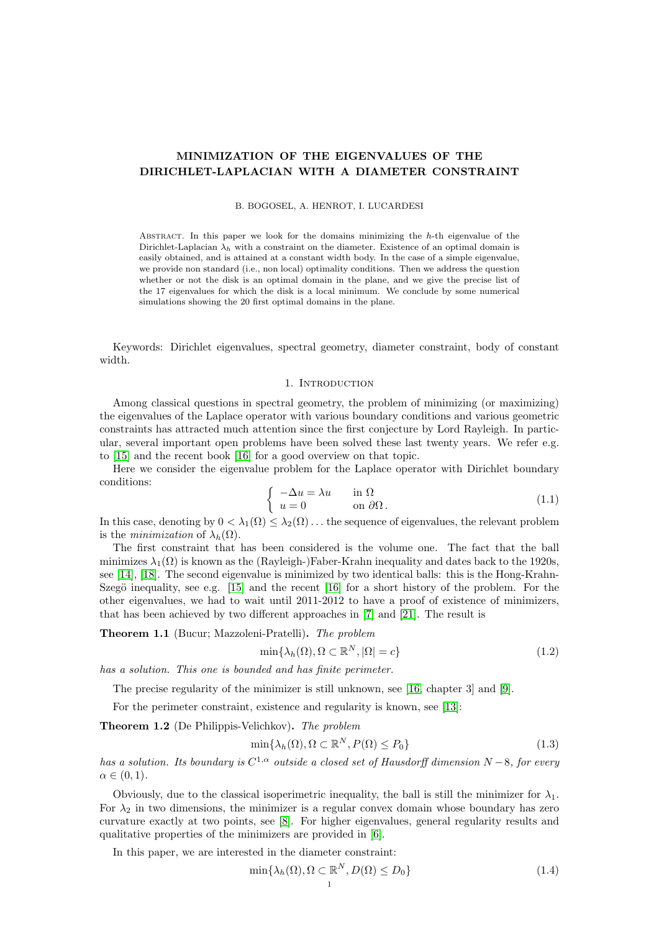# MINIMIZATION OF THE EIGENVALUES OF THE DIRICHLET-LAPLACIAN WITH A DIAMETER CONSTRAINT

B. BOGOSEL, A. HENROT, I. LUCARDESI

ABSTRACT. In this paper we look for the domains minimizing the h-th eigenvalue of the Dirichlet-Laplacian  $\lambda_h$  with a constraint on the diameter. Existence of an optimal domain is easily obtained, and is attained at a constant width body. In the case of a simple eigenvalue, we provide non standard (i.e., non local) optimality conditions. Then we address the question whether or not the disk is an optimal domain in the plane, and we give the precise list of the 17 eigenvalues for which the disk is a local minimum. We conclude by some numerical simulations showing the 20 first optimal domains in the plane.

Keywords: Dirichlet eigenvalues, spectral geometry, diameter constraint, body of constant width.

## 1. INTRODUCTION

Among classical questions in spectral geometry, the problem of minimizing (or maximizing) the eigenvalues of the Laplace operator with various boundary conditions and various geometric constraints has attracted much attention since the first conjecture by Lord Rayleigh. In particular, several important open problems have been solved these last twenty years. We refer e.g. to [\[15\]](#page-17-0) and the recent book [\[16\]](#page-17-1) for a good overview on that topic.

Here we consider the eigenvalue problem for the Laplace operator with Dirichlet boundary conditions:

$$
\begin{cases}\n-\Delta u = \lambda u & \text{in } \Omega \\
u = 0 & \text{on } \partial\Omega.\n\end{cases}
$$
\n(1.1)

In this case, denoting by  $0 < \lambda_1(\Omega) \leq \lambda_2(\Omega) \ldots$  the sequence of eigenvalues, the relevant problem is the *minimization* of  $\lambda_h(\Omega)$ .

The first constraint that has been considered is the volume one. The fact that the ball minimizes  $\lambda_1(\Omega)$  is known as the (Rayleigh-)Faber-Krahn inequality and dates back to the 1920s, see [\[14\]](#page-17-2), [\[18\]](#page-17-3). The second eigenvalue is minimized by two identical balls: this is the Hong-Krahn-Szegö inequality, see e.g.  $[15]$  and the recent  $[16]$  for a short history of the problem. For the other eigenvalues, we had to wait until 2011-2012 to have a proof of existence of minimizers, that has been achieved by two different approaches in [\[7\]](#page-17-4) and [\[21\]](#page-17-5). The result is

Theorem 1.1 (Bucur; Mazzoleni-Pratelli). The problem

<span id="page-0-1"></span>
$$
\min\{\lambda_h(\Omega), \Omega \subset \mathbb{R}^N, |\Omega| = c\} \tag{1.2}
$$

has a solution. This one is bounded and has finite perimeter.

The precise regularity of the minimizer is still unknown, see [\[16,](#page-17-1) chapter 3] and [\[9\]](#page-17-6).

For the perimeter constraint, existence and regularity is known, see [\[13\]](#page-17-7):

Theorem 1.2 (De Philippis-Velichkov). The problem

<span id="page-0-2"></span>
$$
\min\{\lambda_h(\Omega), \Omega \subset \mathbb{R}^N, P(\Omega) \le P_0\} \tag{1.3}
$$

has a solution. Its boundary is  $C^{1,\alpha}$  outside a closed set of Hausdorff dimension  $N-8$ , for every  $\alpha \in (0,1)$ .

Obviously, due to the classical isoperimetric inequality, the ball is still the minimizer for  $\lambda_1$ . For  $\lambda_2$  in two dimensions, the minimizer is a regular convex domain whose boundary has zero curvature exactly at two points, see [\[8\]](#page-17-8). For higher eigenvalues, general regularity results and qualitative properties of the minimizers are provided in [\[6\]](#page-17-9).

In this paper, we are interested in the diameter constraint:

<span id="page-0-0"></span>
$$
\min\{\lambda_h(\Omega), \Omega \subset \mathbb{R}^N, D(\Omega) \le D_0\} \tag{1.4}
$$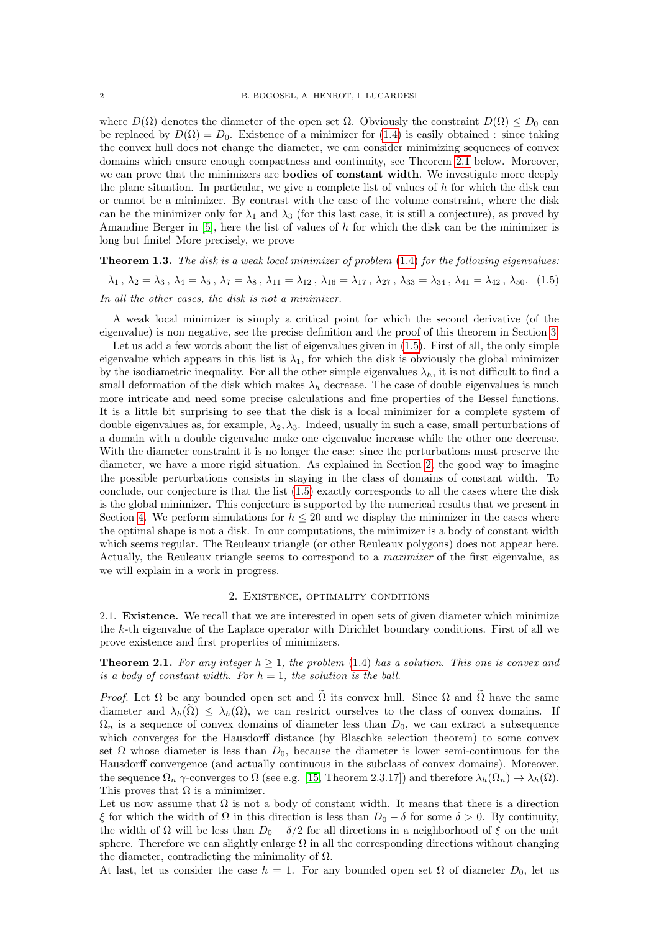where  $D(\Omega)$  denotes the diameter of the open set  $\Omega$ . Obviously the constraint  $D(\Omega) \leq D_0$  can be replaced by  $D(\Omega) = D_0$ . Existence of a minimizer for [\(1.4\)](#page-0-0) is easily obtained : since taking the convex hull does not change the diameter, we can consider minimizing sequences of convex domains which ensure enough compactness and continuity, see Theorem [2.1](#page-1-0) below. Moreover, we can prove that the minimizers are **bodies of constant width**. We investigate more deeply the plane situation. In particular, we give a complete list of values of  $h$  for which the disk can or cannot be a minimizer. By contrast with the case of the volume constraint, where the disk can be the minimizer only for  $\lambda_1$  and  $\lambda_3$  (for this last case, it is still a conjecture), as proved by Amandine Berger in  $[5]$ , here the list of values of h for which the disk can be the minimizer is long but finite! More precisely, we prove

<span id="page-1-3"></span>**Theorem 1.3.** The disk is a weak local minimizer of problem  $(1.4)$  for the following eigenvalues:

<span id="page-1-1"></span> $\lambda_1, \lambda_2 = \lambda_3, \lambda_4 = \lambda_5, \lambda_7 = \lambda_8, \lambda_{11} = \lambda_{12}, \lambda_{16} = \lambda_{17}, \lambda_{27}, \lambda_{33} = \lambda_{34}, \lambda_{41} = \lambda_{42}, \lambda_{50}.$  (1.5) In all the other cases, the disk is not a minimizer.

A weak local minimizer is simply a critical point for which the second derivative (of the eigenvalue) is non negative, see the precise definition and the proof of this theorem in Section [3.](#page-3-0)

Let us add a few words about the list of eigenvalues given in  $(1.5)$ . First of all, the only simple eigenvalue which appears in this list is  $\lambda_1$ , for which the disk is obviously the global minimizer by the isodiametric inequality. For all the other simple eigenvalues  $\lambda_h$ , it is not difficult to find a small deformation of the disk which makes  $\lambda_h$  decrease. The case of double eigenvalues is much more intricate and need some precise calculations and fine properties of the Bessel functions. It is a little bit surprising to see that the disk is a local minimizer for a complete system of double eigenvalues as, for example,  $\lambda_2, \lambda_3$ . Indeed, usually in such a case, small perturbations of a domain with a double eigenvalue make one eigenvalue increase while the other one decrease. With the diameter constraint it is no longer the case: since the perturbations must preserve the diameter, we have a more rigid situation. As explained in Section [2,](#page-1-2) the good way to imagine the possible perturbations consists in staying in the class of domains of constant width. To conclude, our conjecture is that the list [\(1.5\)](#page-1-1) exactly corresponds to all the cases where the disk is the global minimizer. This conjecture is supported by the numerical results that we present in Section [4.](#page-14-0) We perform simulations for  $h \leq 20$  and we display the minimizer in the cases where the optimal shape is not a disk. In our computations, the minimizer is a body of constant width which seems regular. The Reuleaux triangle (or other Reuleaux polygons) does not appear here. Actually, the Reuleaux triangle seems to correspond to a maximizer of the first eigenvalue, as we will explain in a work in progress.

#### 2. Existence, optimality conditions

<span id="page-1-2"></span>2.1. Existence. We recall that we are interested in open sets of given diameter which minimize the k-th eigenvalue of the Laplace operator with Dirichlet boundary conditions. First of all we prove existence and first properties of minimizers.

# <span id="page-1-0"></span>**Theorem 2.1.** For any integer  $h \geq 1$ , the problem [\(1.4\)](#page-0-0) has a solution. This one is convex and is a body of constant width. For  $h = 1$ , the solution is the ball.

*Proof.* Let  $\Omega$  be any bounded open set and  $\widetilde{\Omega}$  its convex hull. Since  $\Omega$  and  $\widetilde{\Omega}$  have the same diameter and  $\lambda_h(\Omega) \leq \lambda_h(\Omega)$ , we can restrict ourselves to the class of convex domains. If  $\Omega_n$  is a sequence of convex domains of diameter less than  $D_0$ , we can extract a subsequence which converges for the Hausdorff distance (by Blaschke selection theorem) to some convex set  $\Omega$  whose diameter is less than  $D_0$ , because the diameter is lower semi-continuous for the Hausdorff convergence (and actually continuous in the subclass of convex domains). Moreover, the sequence  $\Omega_n$   $\gamma$ -converges to  $\Omega$  (see e.g. [\[15,](#page-17-0) Theorem 2.3.17]) and therefore  $\lambda_h(\Omega_n) \to \lambda_h(\Omega)$ . This proves that  $\Omega$  is a minimizer.

Let us now assume that  $\Omega$  is not a body of constant width. It means that there is a direction ξ for which the width of Ω in this direction is less than  $D_0 - \delta$  for some  $\delta > 0$ . By continuity, the width of  $\Omega$  will be less than  $D_0 - \delta/2$  for all directions in a neighborhood of  $\xi$  on the unit sphere. Therefore we can slightly enlarge  $\Omega$  in all the corresponding directions without changing the diameter, contradicting the minimality of  $\Omega$ .

At last, let us consider the case  $h = 1$ . For any bounded open set  $\Omega$  of diameter  $D_0$ , let us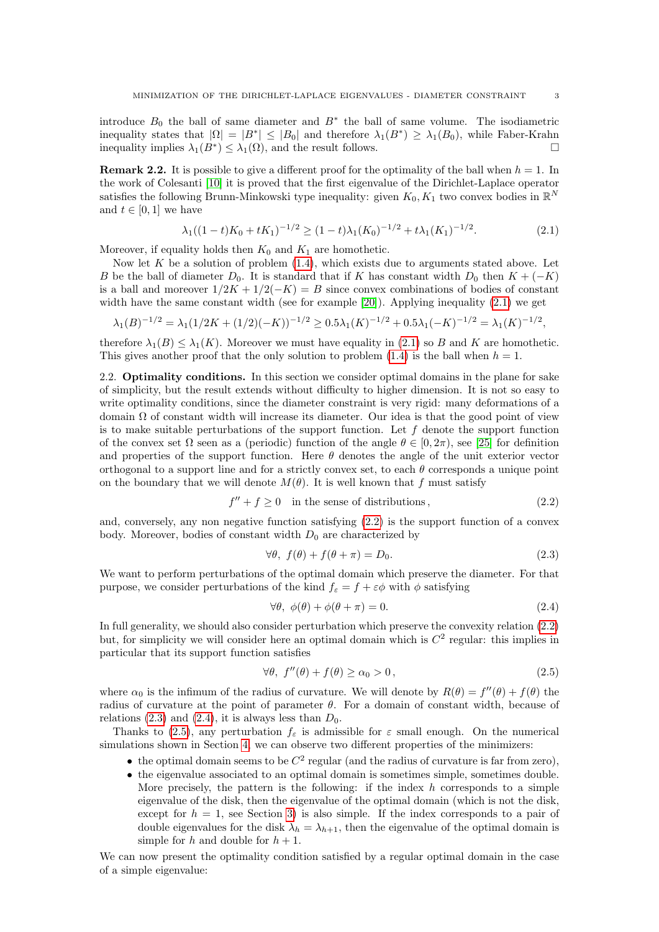introduce  $B_0$  the ball of same diameter and  $B^*$  the ball of same volume. The isodiametric inequality states that  $|\Omega| = |B^*| \leq |B_0|$  and therefore  $\lambda_1(B^*) \geq \lambda_1(B_0)$ , while Faber-Krahn inequality implies  $\lambda_1(B^*) \leq \lambda_1(\Omega)$ , and the result follows.

**Remark 2.2.** It is possible to give a different proof for the optimality of the ball when  $h = 1$ . In the work of Colesanti [\[10\]](#page-17-11) it is proved that the first eigenvalue of the Dirichlet-Laplace operator satisfies the following Brunn-Minkowski type inequality: given  $K_0, K_1$  two convex bodies in  $\mathbb{R}^N$ and  $t \in [0, 1]$  we have

<span id="page-2-0"></span>
$$
\lambda_1((1-t)K_0 + tK_1)^{-1/2} \ge (1-t)\lambda_1(K_0)^{-1/2} + t\lambda_1(K_1)^{-1/2}.
$$
\n(2.1)

Moreover, if equality holds then  $K_0$  and  $K_1$  are homothetic.

Now let K be a solution of problem  $(1.4)$ , which exists due to arguments stated above. Let B be the ball of diameter  $D_0$ . It is standard that if K has constant width  $D_0$  then  $K + (-K)$ is a ball and moreover  $1/2K + 1/2(-K) = B$  since convex combinations of bodies of constant width have the same constant width (see for example [\[20\]](#page-17-12)). Applying inequality [\(2.1\)](#page-2-0) we get

$$
\lambda_1(B)^{-1/2} = \lambda_1(1/2K + (1/2)(-K))^{-1/2} \ge 0.5\lambda_1(K)^{-1/2} + 0.5\lambda_1(-K)^{-1/2} = \lambda_1(K)^{-1/2},
$$

therefore  $\lambda_1(B) \leq \lambda_1(K)$ . Moreover we must have equality in [\(2.1\)](#page-2-0) so B and K are homothetic. This gives another proof that the only solution to problem  $(1.4)$  is the ball when  $h = 1$ .

<span id="page-2-5"></span>2.2. **Optimality conditions.** In this section we consider optimal domains in the plane for sake of simplicity, but the result extends without difficulty to higher dimension. It is not so easy to write optimality conditions, since the diameter constraint is very rigid: many deformations of a domain Ω of constant width will increase its diameter. Our idea is that the good point of view is to make suitable perturbations of the support function. Let  $f$  denote the support function of the convex set  $\Omega$  seen as a (periodic) function of the angle  $\theta \in [0, 2\pi)$ , see [\[25\]](#page-17-13) for definition and properties of the support function. Here  $\theta$  denotes the angle of the unit exterior vector orthogonal to a support line and for a strictly convex set, to each  $\theta$  corresponds a unique point on the boundary that we will denote  $M(\theta)$ . It is well known that f must satisfy

<span id="page-2-1"></span>
$$
f'' + f \ge 0 \quad \text{in the sense of distributions}, \tag{2.2}
$$

and, conversely, any non negative function satisfying [\(2.2\)](#page-2-1) is the support function of a convex body. Moreover, bodies of constant width  $D_0$  are characterized by

<span id="page-2-2"></span>
$$
\forall \theta, \ f(\theta) + f(\theta + \pi) = D_0. \tag{2.3}
$$

We want to perform perturbations of the optimal domain which preserve the diameter. For that purpose, we consider perturbations of the kind  $f_{\varepsilon} = f + \varepsilon \phi$  with  $\phi$  satisfying

<span id="page-2-3"></span>
$$
\forall \theta, \ \phi(\theta) + \phi(\theta + \pi) = 0. \tag{2.4}
$$

In full generality, we should also consider perturbation which preserve the convexity relation [\(2.2\)](#page-2-1) but, for simplicity we will consider here an optimal domain which is  $C<sup>2</sup>$  regular: this implies in particular that its support function satisfies

<span id="page-2-4"></span>
$$
\forall \theta, \ f''(\theta) + f(\theta) \ge \alpha_0 > 0, \tag{2.5}
$$

where  $\alpha_0$  is the infimum of the radius of curvature. We will denote by  $R(\theta) = f''(\theta) + f(\theta)$  the radius of curvature at the point of parameter  $\theta$ . For a domain of constant width, because of relations [\(2.3\)](#page-2-2) and [\(2.4\)](#page-2-3), it is always less than  $D_0$ .

Thanks to [\(2.5\)](#page-2-4), any perturbation  $f_{\varepsilon}$  is admissible for  $\varepsilon$  small enough. On the numerical simulations shown in Section [4,](#page-14-0) we can observe two different properties of the minimizers:

- the optimal domain seems to be  $C^2$  regular (and the radius of curvature is far from zero),
- the eigenvalue associated to an optimal domain is sometimes simple, sometimes double. More precisely, the pattern is the following: if the index  $h$  corresponds to a simple eigenvalue of the disk, then the eigenvalue of the optimal domain (which is not the disk, except for  $h = 1$ , see Section [3\)](#page-3-0) is also simple. If the index corresponds to a pair of double eigenvalues for the disk  $\lambda_h = \lambda_{h+1}$ , then the eigenvalue of the optimal domain is simple for h and double for  $h + 1$ .

We can now present the optimality condition satisfied by a regular optimal domain in the case of a simple eigenvalue: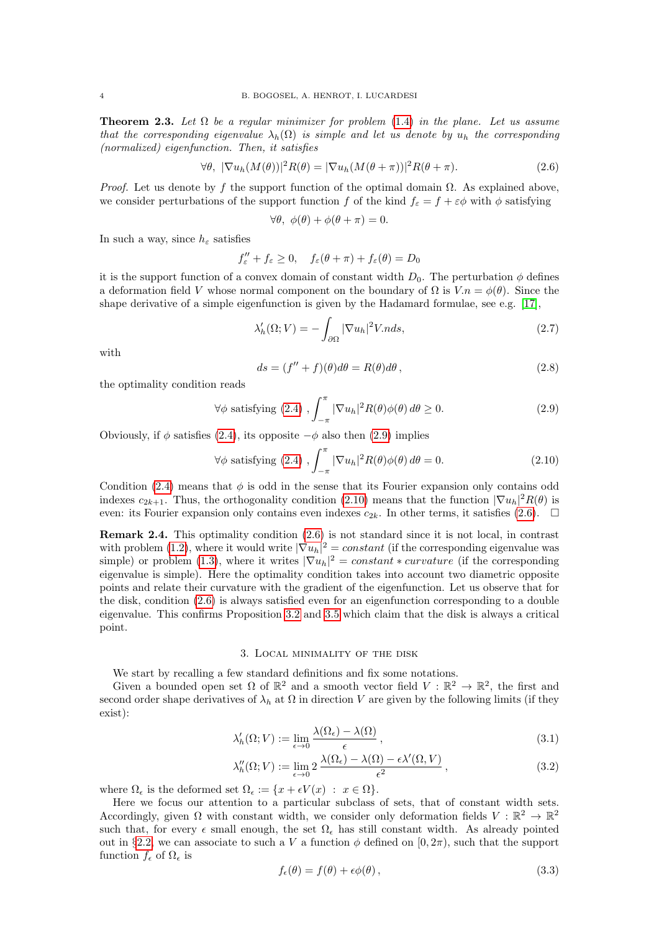**Theorem 2.3.** Let  $\Omega$  be a regular minimizer for problem [\(1.4\)](#page-0-0) in the plane. Let us assume that the corresponding eigenvalue  $\lambda_h(\Omega)$  is simple and let us denote by  $u_h$  the corresponding (normalized) eigenfunction. Then, it satisfies

<span id="page-3-3"></span>
$$
\forall \theta, \ |\nabla u_h(M(\theta))|^2 R(\theta) = |\nabla u_h(M(\theta + \pi))|^2 R(\theta + \pi). \tag{2.6}
$$

*Proof.* Let us denote by f the support function of the optimal domain  $\Omega$ . As explained above, we consider perturbations of the support function f of the kind  $f<sub>\epsilon</sub> = f + \varepsilon \phi$  with  $\phi$  satisfying

$$
\forall \theta, \ \phi(\theta) + \phi(\theta + \pi) = 0.
$$

In such a way, since  $h_{\varepsilon}$  satisfies

$$
f''_{\varepsilon} + f_{\varepsilon} \ge 0, \quad f_{\varepsilon}(\theta + \pi) + f_{\varepsilon}(\theta) = D_0
$$

it is the support function of a convex domain of constant width  $D_0$ . The perturbation  $\phi$  defines a deformation field V whose normal component on the boundary of  $\Omega$  is  $V.n = \phi(\theta)$ . Since the shape derivative of a simple eigenfunction is given by the Hadamard formulae, see e.g. [\[17\]](#page-17-14),

<span id="page-3-5"></span>
$$
\lambda_h'(\Omega; V) = -\int_{\partial \Omega} |\nabla u_h|^2 V \, ds,\tag{2.7}
$$

with

<span id="page-3-6"></span>
$$
ds = (f'' + f)(\theta)d\theta = R(\theta)d\theta,
$$
\n(2.8)

the optimality condition reads

<span id="page-3-1"></span>
$$
\forall \phi \text{ satisfying (2.4)}, \int_{-\pi}^{\pi} |\nabla u_h|^2 R(\theta) \phi(\theta) d\theta \ge 0. \tag{2.9}
$$

Obviously, if  $\phi$  satisfies [\(2.4\)](#page-2-3), its opposite  $-\phi$  also then [\(2.9\)](#page-3-1) implies

<span id="page-3-2"></span>
$$
\forall \phi \text{ satisfying (2.4)}, \int_{-\pi}^{\pi} |\nabla u_h|^2 R(\theta) \phi(\theta) d\theta = 0.
$$
 (2.10)

Condition [\(2.4\)](#page-2-3) means that  $\phi$  is odd in the sense that its Fourier expansion only contains odd indexes  $c_{2k+1}$ . Thus, the orthogonality condition [\(2.10\)](#page-3-2) means that the function  $|\nabla u_h|^2 R(\theta)$  is even: its Fourier expansion only contains even indexes  $c_{2k}$ . In other terms, it satisfies [\(2.6\)](#page-3-3).  $\Box$ 

Remark 2.4. This optimality condition [\(2.6\)](#page-3-3) is not standard since it is not local, in contrast with problem [\(1.2\)](#page-0-1), where it would write  $|\nabla u_h|^2 = constant$  (if the corresponding eigenvalue was simple) or problem [\(1.3\)](#page-0-2), where it writes  $|\nabla u_h|^2 = constant * curvature$  (if the corresponding eigenvalue is simple). Here the optimality condition takes into account two diametric opposite points and relate their curvature with the gradient of the eigenfunction. Let us observe that for the disk, condition [\(2.6\)](#page-3-3) is always satisfied even for an eigenfunction corresponding to a double eigenvalue. This confirms Proposition [3.2](#page-5-0) and [3.5](#page-7-0) which claim that the disk is always a critical point.

### 3. Local minimality of the disk

<span id="page-3-0"></span>We start by recalling a few standard definitions and fix some notations.

Given a bounded open set  $\Omega$  of  $\mathbb{R}^2$  and a smooth vector field  $V : \mathbb{R}^2 \to \mathbb{R}^2$ , the first and second order shape derivatives of  $\lambda_h$  at  $\Omega$  in direction V are given by the following limits (if they exist):

$$
\lambda_h'(\Omega; V) := \lim_{\epsilon \to 0} \frac{\lambda(\Omega_{\epsilon}) - \lambda(\Omega)}{\epsilon},\tag{3.1}
$$

$$
\lambda_h''(\Omega; V) := \lim_{\epsilon \to 0} 2 \frac{\lambda(\Omega_{\epsilon}) - \lambda(\Omega) - \epsilon \lambda'(\Omega, V)}{\epsilon^2}, \qquad (3.2)
$$

where  $\Omega_{\epsilon}$  is the deformed set  $\Omega_{\epsilon} := \{x + \epsilon V(x) : x \in \Omega\}.$ 

Here we focus our attention to a particular subclass of sets, that of constant width sets. Accordingly, given  $\Omega$  with constant width, we consider only deformation fields  $V : \mathbb{R}^2 \to \mathbb{R}^2$ such that, for every  $\epsilon$  small enough, the set  $\Omega_{\epsilon}$  has still constant width. As already pointed out in §[2.2,](#page-2-5) we can associate to such a V a function  $\phi$  defined on  $[0, 2\pi)$ , such that the support function  $f_{\epsilon}$  of  $\Omega_{\epsilon}$  is

<span id="page-3-4"></span>
$$
f_{\epsilon}(\theta) = f(\theta) + \epsilon \phi(\theta), \qquad (3.3)
$$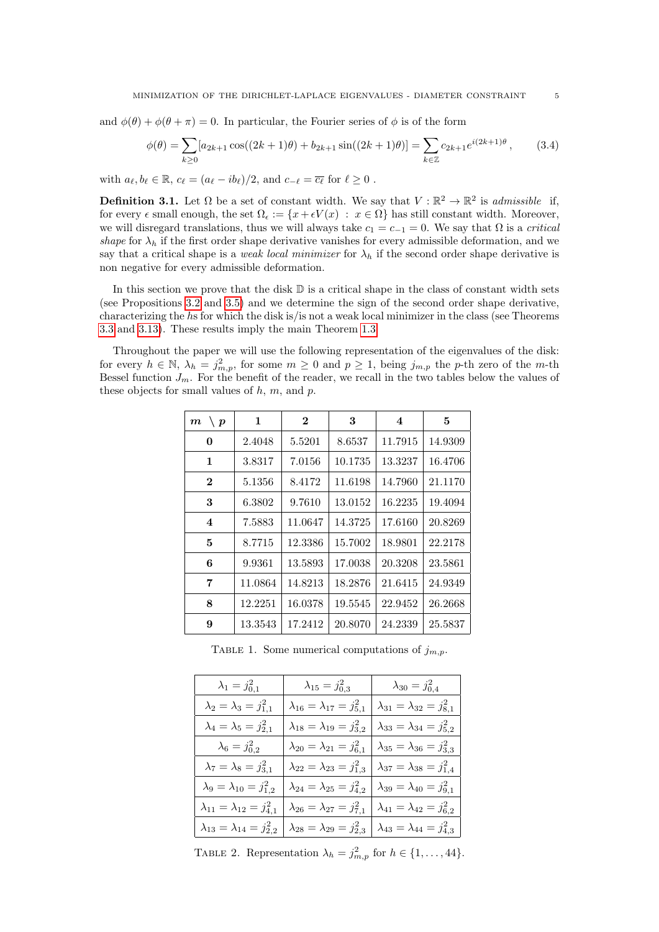and  $\phi(\theta) + \phi(\theta + \pi) = 0$ . In particular, the Fourier series of  $\phi$  is of the form

<span id="page-4-0"></span>
$$
\phi(\theta) = \sum_{k\geq 0} [a_{2k+1} \cos((2k+1)\theta) + b_{2k+1} \sin((2k+1)\theta)] = \sum_{k\in\mathbb{Z}} c_{2k+1} e^{i(2k+1)\theta},\tag{3.4}
$$

with  $a_{\ell}, b_{\ell} \in \mathbb{R}$ ,  $c_{\ell} = (a_{\ell} - ib_{\ell})/2$ , and  $c_{-\ell} = \overline{c_{\ell}}$  for  $\ell \geq 0$ .

**Definition 3.1.** Let  $\Omega$  be a set of constant width. We say that  $V : \mathbb{R}^2 \to \mathbb{R}^2$  is *admissible* if, for every  $\epsilon$  small enough, the set  $\Omega_{\epsilon} := \{x + \epsilon V(x) : x \in \Omega\}$  has still constant width. Moreover, we will disregard translations, thus we will always take  $c_1 = c_{-1} = 0$ . We say that  $\Omega$  is a *critical* shape for  $\lambda_h$  if the first order shape derivative vanishes for every admissible deformation, and we say that a critical shape is a *weak local minimizer* for  $\lambda_h$  if the second order shape derivative is non negative for every admissible deformation.

In this section we prove that the disk  $\mathbb D$  is a critical shape in the class of constant width sets (see Propositions [3.2](#page-5-0) and [3.5\)](#page-7-0) and we determine the sign of the second order shape derivative, characterizing the hs for which the disk is/is not a weak local minimizer in the class (see Theorems [3.3](#page-6-0) and [3.13\)](#page-12-0). These results imply the main Theorem [1.3.](#page-1-3)

Throughout the paper we will use the following representation of the eigenvalues of the disk: for every  $h \in \mathbb{N}$ ,  $\lambda_h = j_{m,p}^2$ , for some  $m \geq 0$  and  $p \geq 1$ , being  $j_{m,p}$  the p-th zero of the m-th Bessel function  $J_m$ . For the benefit of the reader, we recall in the two tables below the values of these objects for small values of  $h$ ,  $m$ , and  $p$ .

| $\langle p \rangle$<br>$\boldsymbol{m}$ | 1       | $\bf{2}$ | 3       | 4       | 5       |
|-----------------------------------------|---------|----------|---------|---------|---------|
| 0                                       | 2.4048  | 5.5201   | 8.6537  | 11.7915 | 14.9309 |
| $\mathbf{1}$                            | 3.8317  | 7.0156   | 10.1735 | 13.3237 | 16.4706 |
| $\mathbf{2}$                            | 5.1356  | 8.4172   | 11.6198 | 14.7960 | 21.1170 |
| 3                                       | 6.3802  | 9.7610   | 13.0152 | 16.2235 | 19.4094 |
| $\overline{\mathbf{4}}$                 | 7.5883  | 11.0647  | 14.3725 | 17.6160 | 20.8269 |
| 5                                       | 8.7715  | 12.3386  | 15.7002 | 18.9801 | 22.2178 |
| 6                                       | 9.9361  | 13.5893  | 17.0038 | 20.3208 | 23.5861 |
| 7                                       | 11.0864 | 14.8213  | 18.2876 | 21.6415 | 24.9349 |
| 8                                       | 12.2251 | 16.0378  | 19.5545 | 22.9452 | 26.2668 |
| 9                                       | 13.3543 | 17.2412  | 20.8070 | 24.2339 | 25.5837 |

TABLE 1. Some numerical computations of  $j_{m,n}$ .

| $\lambda_1 = j_{0,1}^2$                   | $\lambda_{15} = j_{0,3}^2$                | $\lambda_{30} = j_{0,4}^2$                |
|-------------------------------------------|-------------------------------------------|-------------------------------------------|
| $\lambda_2 = \lambda_3 = j_{1,1}^2$       | $\lambda_{16} = \lambda_{17} = j_{5,1}^2$ | $\lambda_{31} = \lambda_{32} = j_{8,1}^2$ |
| $\lambda_4 = \lambda_5 = j_{2,1}^2$       | $\lambda_{18} = \lambda_{19} = j_{3,2}^2$ | $\lambda_{33} = \lambda_{34} = j_{5,2}^2$ |
| $\lambda_6 = j_{0,2}^2$                   | $\lambda_{20} = \lambda_{21} = j_{6,1}^2$ | $\lambda_{35} = \lambda_{36} = j_{3,3}^2$ |
| $\lambda_7 = \lambda_8 = j_{3,1}^2$       | $\lambda_{22} = \lambda_{23} = j_{1,3}^2$ | $\lambda_{37} = \lambda_{38} = j_{1,4}^2$ |
| $\lambda_9 = \lambda_{10} = j_{1,2}^2$    | $\lambda_{24} = \lambda_{25} = j_{4,2}^2$ | $\lambda_{39} = \lambda_{40} = j_{9,1}^2$ |
| $\lambda_{11} = \lambda_{12} = j_{4,1}^2$ | $\lambda_{26} = \lambda_{27} = j_{7,1}^2$ | $\lambda_{41} = \lambda_{42} = j_{6,2}^2$ |
| $\lambda_{13} = \lambda_{14} = j_{2,2}^2$ | $\lambda_{28} = \lambda_{29} = j_{2,3}^2$ | $\lambda_{43} = \lambda_{44} = j_{4,3}^2$ |

<span id="page-4-1"></span>TABLE 2. Representation  $\lambda_h = j_{m,p}^2$  for  $h \in \{1, \ldots, 44\}.$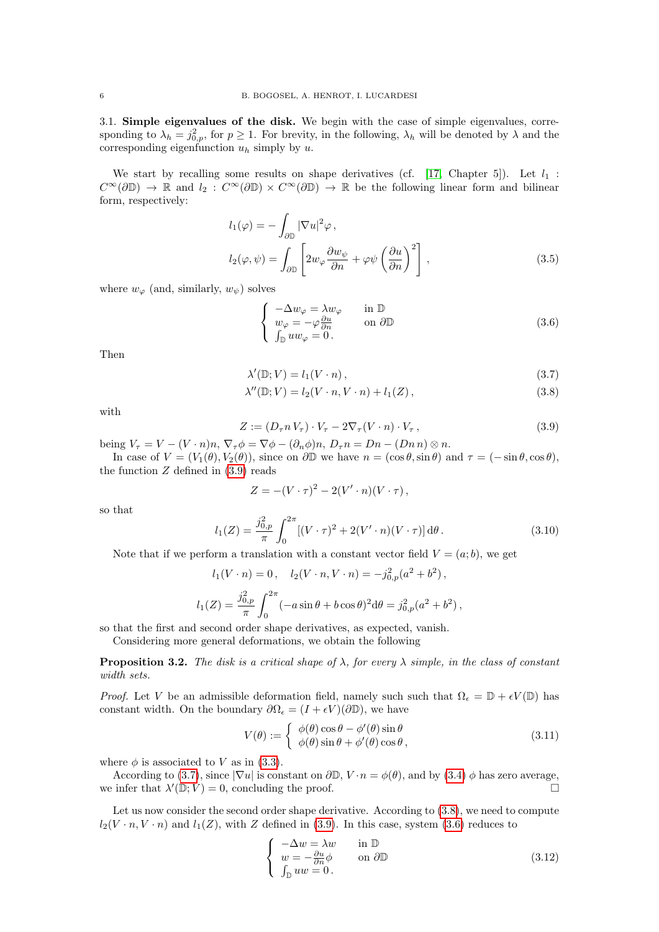3.1. Simple eigenvalues of the disk. We begin with the case of simple eigenvalues, corresponding to  $\lambda_h = j_{0,p}^2$ , for  $p \ge 1$ . For brevity, in the following,  $\lambda_h$  will be denoted by  $\lambda$  and the corresponding eigenfunction  $u_h$  simply by u.

We start by recalling some results on shape derivatives (cf. [\[17,](#page-17-14) Chapter 5]). Let  $l_1$ :  $C^{\infty}(\partial\mathbb{D}) \to \mathbb{R}$  and  $l_2: C^{\infty}(\partial\mathbb{D}) \times C^{\infty}(\partial\mathbb{D}) \to \mathbb{R}$  be the following linear form and bilinear form, respectively:

$$
l_1(\varphi) = -\int_{\partial \mathbb{D}} |\nabla u|^2 \varphi ,
$$
  

$$
l_2(\varphi, \psi) = \int_{\partial \mathbb{D}} \left[ 2w_{\varphi} \frac{\partial w_{\psi}}{\partial n} + \varphi \psi \left( \frac{\partial u}{\partial n} \right)^2 \right] ,
$$
 (3.5)

where  $w_{\varphi}$  (and, similarly,  $w_{\psi}$ ) solves

<span id="page-5-6"></span><span id="page-5-4"></span><span id="page-5-3"></span><span id="page-5-2"></span>
$$
\begin{cases}\n-\Delta w_{\varphi} = \lambda w_{\varphi} & \text{in } \mathbb{D} \\
w_{\varphi} = -\varphi \frac{\partial u}{\partial n} & \text{on } \partial \mathbb{D} \\
\int_{\mathbb{D}} u w_{\varphi} = 0.\n\end{cases}
$$
\n(3.6)

Then

$$
\lambda'(\mathbb{D}; V) = l_1(V \cdot n), \qquad (3.7)
$$

$$
\lambda''(\mathbb{D}; V) = l_2(V \cdot n, V \cdot n) + l_1(Z), \qquad (3.8)
$$

with

<span id="page-5-1"></span>
$$
Z := (D_{\tau} n V_{\tau}) \cdot V_{\tau} - 2\nabla_{\tau} (V \cdot n) \cdot V_{\tau}, \qquad (3.9)
$$

being  $V_\tau = V - (V \cdot n)n$ ,  $\nabla_\tau \phi = \nabla \phi - (\partial_n \phi)n$ ,  $D_\tau n = Dn - (Dn n) \otimes n$ .

In case of  $V = (V_1(\theta), V_2(\theta))$ , since on  $\partial \mathbb{D}$  we have  $n = (\cos \theta, \sin \theta)$  and  $\tau = (-\sin \theta, \cos \theta)$ , the function  $Z$  defined in  $(3.9)$  reads

$$
Z = -(V \cdot \tau)^2 - 2(V' \cdot n)(V \cdot \tau) ,
$$

so that

<span id="page-5-7"></span>
$$
l_1(Z) = \frac{j_{0,p}^2}{\pi} \int_0^{2\pi} [(V \cdot \tau)^2 + 2(V' \cdot n)(V \cdot \tau)] \,d\theta.
$$
 (3.10)

Note that if we perform a translation with a constant vector field  $V = (a, b)$ , we get

$$
l_1(V \cdot n) = 0, \quad l_2(V \cdot n, V \cdot n) = -j_{0,p}^2(a^2 + b^2),
$$
  

$$
l_1(Z) = \frac{j_{0,p}^2}{\pi} \int_0^{2\pi} (-a\sin\theta + b\cos\theta)^2 d\theta = j_{0,p}^2(a^2 + b^2),
$$

so that the first and second order shape derivatives, as expected, vanish.

Considering more general deformations, we obtain the following

<span id="page-5-0"></span>**Proposition 3.2.** The disk is a critical shape of  $\lambda$ , for every  $\lambda$  simple, in the class of constant width sets.

*Proof.* Let V be an admissible deformation field, namely such such that  $\Omega_{\epsilon} = \mathbb{D} + \epsilon V(\mathbb{D})$  has constant width. On the boundary  $\partial\Omega_{\epsilon} = (I + \epsilon V)(\partial \mathbb{D})$ , we have

$$
V(\theta) := \begin{cases} \phi(\theta)\cos\theta - \phi'(\theta)\sin\theta\\ \phi(\theta)\sin\theta + \phi'(\theta)\cos\theta, \end{cases}
$$
 (3.11)

where  $\phi$  is associated to V as in [\(3.3\)](#page-3-4).

According to [\(3.7\)](#page-5-2), since  $|\nabla u|$  is constant on  $\partial \mathbb{D}, V \cdot n = \phi(\theta)$ , and by [\(3.4\)](#page-4-0)  $\phi$  has zero average, we infer that  $\lambda'(\mathbb{D}; V) = 0$ , concluding the proof.

Let us now consider the second order shape derivative. According to  $(3.8)$ , we need to compute  $l_2(V \cdot n, V \cdot n)$  and  $l_1(Z)$ , with Z defined in [\(3.9\)](#page-5-1). In this case, system [\(3.6\)](#page-5-4) reduces to

<span id="page-5-5"></span>
$$
\begin{cases}\n-\Delta w = \lambda w & \text{in } \mathbb{D} \\
w = -\frac{\partial u}{\partial n} \phi & \text{on } \partial \mathbb{D} \\
\int_{\mathbb{D}} uw = 0.\n\end{cases}
$$
\n(3.12)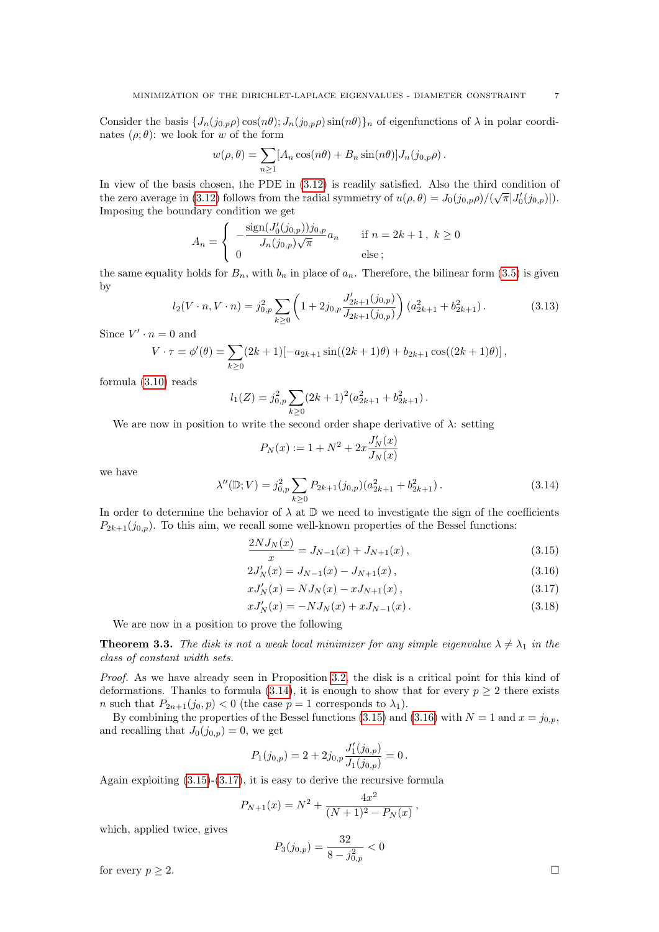Consider the basis  $\{J_n(j_{0,p}\rho)\cos(n\theta); J_n(j_{0,p}\rho)\sin(n\theta)\}\$ <sub>n</sub> of eigenfunctions of  $\lambda$  in polar coordinates  $(\rho; \theta)$ : we look for w of the form

$$
w(\rho,\theta) = \sum_{n\geq 1} [A_n \cos(n\theta) + B_n \sin(n\theta)] J_n(j_{0,p}\rho).
$$

In view of the basis chosen, the PDE in  $(3.12)$  is readily satisfied. Also the third condition of the zero average in [\(3.12\)](#page-5-5) follows from the radial symmetry of  $u(\rho, \theta) = J_0(j_{0,p}\rho)/(\sqrt{\pi}|J'_0(j_{0,p})|)$ . Imposing the boundary condition we get

$$
A_n = \begin{cases} -\frac{\text{sign}(J_0'(j_{0,p}))j_{0,p}}{J_n(j_{0,p})\sqrt{\pi}}a_n & \text{if } n = 2k+1, \ k \ge 0\\ 0 & \text{else} \end{cases}
$$

the same equality holds for  $B_n$ , with  $b_n$  in place of  $a_n$ . Therefore, the bilinear form [\(3.5\)](#page-5-6) is given by

$$
l_2(V \cdot n, V \cdot n) = j_{0,p}^2 \sum_{k \ge 0} \left( 1 + 2j_{0,p} \frac{J'_{2k+1}(j_{0,p})}{J_{2k+1}(j_{0,p})} \right) (a_{2k+1}^2 + b_{2k+1}^2).
$$
 (3.13)

Since  $V' \cdot n = 0$  and

$$
V \cdot \tau = \phi'(\theta) = \sum_{k \ge 0} (2k+1) [-a_{2k+1} \sin((2k+1)\theta) + b_{2k+1} \cos((2k+1)\theta)],
$$

formula [\(3.10\)](#page-5-7) reads

$$
l_1(Z) = j_{0,p}^2 \sum_{k \ge 0} (2k+1)^2 (a_{2k+1}^2 + b_{2k+1}^2).
$$

We are now in position to write the second order shape derivative of  $\lambda$ : setting

$$
P_N(x):=1+N^2+2x\frac{J_N'(x)}{J_N(x)}
$$

we have

<span id="page-6-1"></span>
$$
\lambda''(\mathbb{D}; V) = j_{0,p}^2 \sum_{k \ge 0} P_{2k+1}(j_{0,p})(a_{2k+1}^2 + b_{2k+1}^2).
$$
 (3.14)

In order to determine the behavior of  $\lambda$  at  $\mathbb D$  we need to investigate the sign of the coefficients  $P_{2k+1}(j_{0,p})$ . To this aim, we recall some well-known properties of the Bessel functions:

<span id="page-6-2"></span>
$$
\frac{2NJ_N(x)}{x} = J_{N-1}(x) + J_{N+1}(x),\tag{3.15}
$$

<span id="page-6-4"></span><span id="page-6-3"></span>
$$
2J'_N(x) = J_{N-1}(x) - J_{N+1}(x), \qquad (3.16)
$$

<span id="page-6-5"></span>
$$
xJ'_{N}(x) = NJ_{N}(x) - xJ_{N+1}(x), \qquad (3.17)
$$

$$
xJ'_{N}(x) = -NJ_{N}(x) + xJ_{N-1}(x).
$$
\n(3.18)

We are now in a position to prove the following

<span id="page-6-0"></span>**Theorem 3.3.** The disk is not a weak local minimizer for any simple eigenvalue  $\lambda \neq \lambda_1$  in the class of constant width sets.

Proof. As we have already seen in Proposition [3.2,](#page-5-0) the disk is a critical point for this kind of deformations. Thanks to formula [\(3.14\)](#page-6-1), it is enough to show that for every  $p \geq 2$  there exists *n* such that  $P_{2n+1}(j_0, p) < 0$  (the case  $p = 1$  corresponds to  $\lambda_1$ ).

By combining the properties of the Bessel functions [\(3.15\)](#page-6-2) and [\(3.16\)](#page-6-3) with  $N = 1$  and  $x = j_{0,p}$ , and recalling that  $J_0(j_{0,p}) = 0$ , we get

$$
P_1(j_{0,p}) = 2 + 2j_{0,p} \frac{J'_1(j_{0,p})}{J_1(j_{0,p})} = 0.
$$

Again exploiting [\(3.15\)](#page-6-2)-[\(3.17\)](#page-6-4), it is easy to derive the recursive formula

$$
P_{N+1}(x) = N^2 + \frac{4x^2}{(N+1)^2 - P_N(x)},
$$

which, applied twice, gives

$$
P_3(j_{0,p}) = \frac{32}{8 - j_{0,p}^2} < 0
$$

for every  $p \geq 2$ .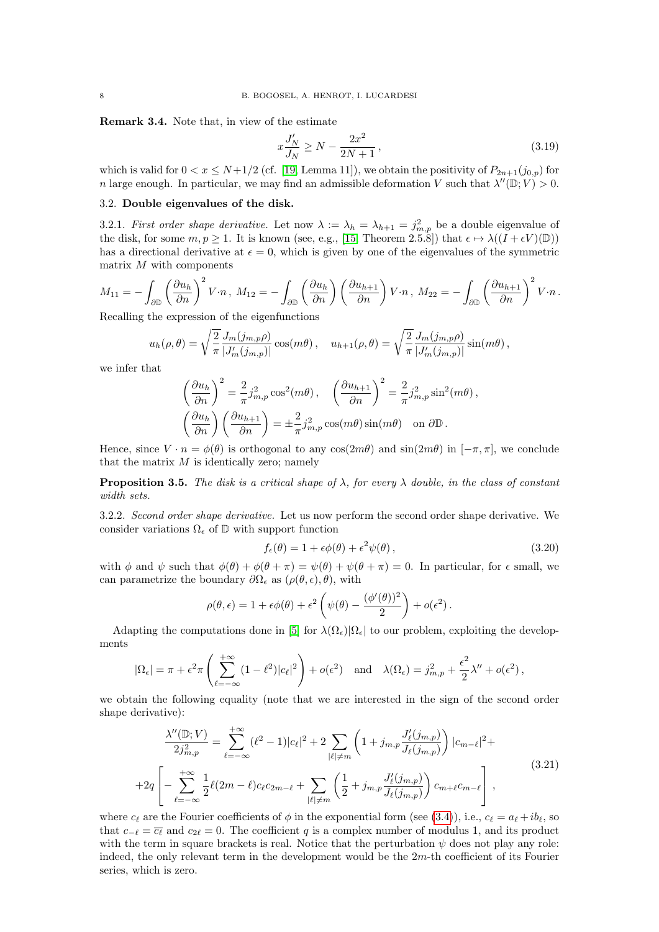Remark 3.4. Note that, in view of the estimate

$$
x\frac{J'_N}{J_N} \ge N - \frac{2x^2}{2N+1},
$$
\n(3.19)

which is valid for  $0 < x \le N+1/2$  (cf. [\[19,](#page-17-15) Lemma 11]), we obtain the positivity of  $P_{2n+1}(j_{0,p})$  for n large enough. In particular, we may find an admissible deformation V such that  $\lambda''(\mathbb{D}; V) > 0$ .

#### 3.2. Double eigenvalues of the disk.

3.2.1. First order shape derivative. Let now  $\lambda := \lambda_h = \lambda_{h+1} = j_{m,p}^2$  be a double eigenvalue of the disk, for some  $m, p \ge 1$ . It is known (see, e.g., [\[15,](#page-17-0) Theorem 2.5.8]) that  $\epsilon \mapsto \lambda((I + \epsilon V)(\mathbb{D}))$ has a directional derivative at  $\epsilon = 0$ , which is given by one of the eigenvalues of the symmetric matrix  $M$  with components

$$
M_{11} = -\int_{\partial \mathbb{D}} \left(\frac{\partial u_h}{\partial n}\right)^2 V \cdot n \, , \, M_{12} = -\int_{\partial \mathbb{D}} \left(\frac{\partial u_h}{\partial n}\right) \left(\frac{\partial u_{h+1}}{\partial n}\right) V \cdot n \, , \, M_{22} = -\int_{\partial \mathbb{D}} \left(\frac{\partial u_{h+1}}{\partial n}\right)^2 V \cdot n \, .
$$
   
Recalling the expression of the eigenfunctions

Recalling the expression of the eigenfunctions

$$
u_h(\rho,\theta) = \sqrt{\frac{2}{\pi}} \frac{J_m(j_{m,p}\rho)}{|J'_m(j_{m,p})|} \cos(m\theta), \quad u_{h+1}(\rho,\theta) = \sqrt{\frac{2}{\pi}} \frac{J_m(j_{m,p}\rho)}{|J'_m(j_{m,p})|} \sin(m\theta),
$$

we infer that

$$
\left(\frac{\partial u_h}{\partial n}\right)^2 = \frac{2}{\pi} j_{m,p}^2 \cos^2(m\theta), \quad \left(\frac{\partial u_{h+1}}{\partial n}\right)^2 = \frac{2}{\pi} j_{m,p}^2 \sin^2(m\theta),
$$

$$
\left(\frac{\partial u_h}{\partial n}\right) \left(\frac{\partial u_{h+1}}{\partial n}\right) = \pm \frac{2}{\pi} j_{m,p}^2 \cos(m\theta) \sin(m\theta) \quad \text{on } \partial \mathbb{D}.
$$

Hence, since  $V \cdot n = \phi(\theta)$  is orthogonal to any cos(2m $\theta$ ) and sin(2m $\theta$ ) in  $[-\pi, \pi]$ , we conclude that the matrix  $M$  is identically zero; namely

<span id="page-7-0"></span>**Proposition 3.5.** The disk is a critical shape of  $\lambda$ , for every  $\lambda$  double, in the class of constant width sets.

3.2.2. Second order shape derivative. Let us now perform the second order shape derivative. We consider variations  $\Omega_\epsilon$  of  $\mathbb D$  with support function

$$
f_{\epsilon}(\theta) = 1 + \epsilon \phi(\theta) + \epsilon^2 \psi(\theta), \qquad (3.20)
$$

with  $\phi$  and  $\psi$  such that  $\phi(\theta) + \phi(\theta + \pi) = \psi(\theta) + \psi(\theta + \pi) = 0$ . In particular, for  $\epsilon$  small, we can parametrize the boundary  $\partial\Omega_{\epsilon}$  as  $(\rho(\theta,\epsilon), \theta)$ , with

$$
\rho(\theta,\epsilon) = 1 + \epsilon \phi(\theta) + \epsilon^2 \left( \psi(\theta) - \frac{(\phi'(\theta))^2}{2} \right) + o(\epsilon^2).
$$

Adapting the computations done in [\[5\]](#page-17-10) for  $\lambda(\Omega_{\epsilon})|\Omega_{\epsilon}|$  to our problem, exploiting the developments

$$
|\Omega_{\epsilon}| = \pi + \epsilon^2 \pi \left( \sum_{\ell=-\infty}^{+\infty} (1 - \ell^2) |c_{\ell}|^2 \right) + o(\epsilon^2) \quad \text{and} \quad \lambda(\Omega_{\epsilon}) = j_{m,p}^2 + \frac{\epsilon^2}{2} \lambda'' + o(\epsilon^2) \,,
$$

we obtain the following equality (note that we are interested in the sign of the second order shape derivative):

<span id="page-7-1"></span>
$$
\frac{\lambda''(\mathbb{D};V)}{2j_{m,p}^2} = \sum_{\ell=-\infty}^{+\infty} (\ell^2 - 1)|c_{\ell}|^2 + 2 \sum_{|\ell| \neq m} \left(1 + j_{m,p} \frac{J'_{\ell}(j_{m,p})}{J_{\ell}(j_{m,p})}\right) |c_{m-\ell}|^2 +
$$
  
+2q \left[ -\sum\_{\ell=-\infty}^{+\infty} \frac{1}{2} \ell(2m-\ell)c\_{\ell}c\_{2m-\ell} + \sum\_{|\ell| \neq m} \left(\frac{1}{2} + j\_{m,p} \frac{J'\_{\ell}(j\_{m,p})}{J\_{\ell}(j\_{m,p})}\right) c\_{m+\ell}c\_{m-\ell} \right], (3.21)

where  $c_\ell$  are the Fourier coefficients of  $\phi$  in the exponential form (see [\(3.4\)](#page-4-0)), i.e.,  $c_\ell = a_\ell + ib_\ell$ , so that  $c_{-\ell} = \overline{c_{\ell}}$  and  $c_{2\ell} = 0$ . The coefficient q is a complex number of modulus 1, and its product with the term in square brackets is real. Notice that the perturbation  $\psi$  does not play any role: indeed, the only relevant term in the development would be the  $2m$ -th coefficient of its Fourier series, which is zero.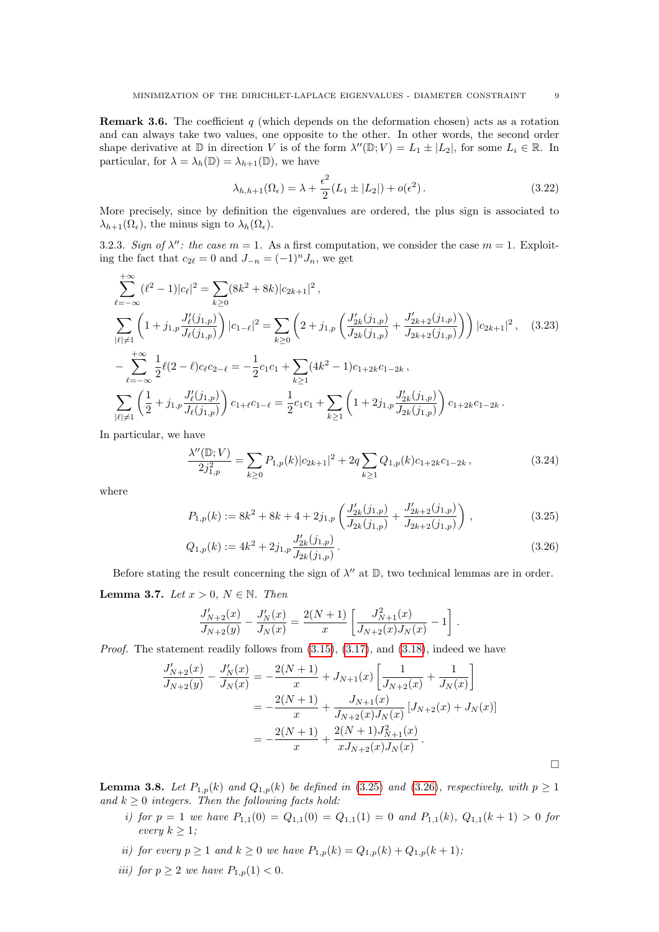<span id="page-8-5"></span>**Remark 3.6.** The coefficient q (which depends on the deformation chosen) acts as a rotation and can always take two values, one opposite to the other. In other words, the second order shape derivative at  $\mathbb D$  in direction V is of the form  $\lambda''(\mathbb D; V) = L_1 \pm |L_2|$ , for some  $L_i \in \mathbb R$ . In particular, for  $\lambda = \lambda_h(\mathbb{D}) = \lambda_{h+1}(\mathbb{D})$ , we have

<span id="page-8-6"></span>
$$
\lambda_{h,h+1}(\Omega_{\epsilon}) = \lambda + \frac{\epsilon^2}{2}(L_1 \pm |L_2|) + o(\epsilon^2).
$$
\n(3.22)

More precisely, since by definition the eigenvalues are ordered, the plus sign is associated to  $\lambda_{h+1}(\Omega_{\epsilon}),$  the minus sign to  $\lambda_h(\Omega_{\epsilon}).$ 

3.2.3. Sign of  $\lambda''$ : the case  $m = 1$ . As a first computation, we consider the case  $m = 1$ . Exploiting the fact that  $c_{2\ell} = 0$  and  $J_{-n} = (-1)^n J_n$ , we get

$$
\sum_{\ell=-\infty}^{+\infty} (\ell^2 - 1)|c_{\ell}|^2 = \sum_{k\geq 0} (8k^2 + 8k)|c_{2k+1}|^2,
$$
\n
$$
\sum_{|\ell|\neq 1} \left(1 + j_{1,p} \frac{J'_{\ell}(j_{1,p})}{J_{\ell}(j_{1,p})}\right) |c_{1-\ell}|^2 = \sum_{k\geq 0} \left(2 + j_{1,p} \left(\frac{J'_{2k}(j_{1,p})}{J_{2k}(j_{1,p})} + \frac{J'_{2k+2}(j_{1,p})}{J_{2k+2}(j_{1,p})}\right)\right) |c_{2k+1}|^2, \quad (3.23)
$$
\n
$$
-\sum_{\ell=-\infty}^{+\infty} \frac{1}{2} \ell(2-\ell)c_{\ell}c_{2-\ell} = -\frac{1}{2}c_1c_1 + \sum_{k\geq 1} (4k^2 - 1)c_{1+2k}c_{1-2k},
$$
\n
$$
\sum_{|\ell|\neq 1} \left(\frac{1}{2} + j_{1,p} \frac{J'_{\ell}(j_{1,p})}{J_{\ell}(j_{1,p})}\right) c_{1+\ell}c_{1-\ell} = \frac{1}{2}c_1c_1 + \sum_{k\geq 1} \left(1 + 2j_{1,p} \frac{J'_{2k}(j_{1,p})}{J_{2k}(j_{1,p})}\right) c_{1+2k}c_{1-2k}.
$$

In particular, we have

<span id="page-8-4"></span>
$$
\frac{\lambda''(\mathbb{D};V)}{2j_{1,p}^2} = \sum_{k\geq 0} P_{1,p}(k)|c_{2k+1}|^2 + 2q \sum_{k\geq 1} Q_{1,p}(k)c_{1+2k}c_{1-2k},\tag{3.24}
$$

where

<span id="page-8-0"></span>
$$
P_{1,p}(k) := 8k^2 + 8k + 4 + 2j_{1,p} \left( \frac{J'_{2k}(j_{1,p})}{J_{2k}(j_{1,p})} + \frac{J'_{2k+2}(j_{1,p})}{J_{2k+2}(j_{1,p})} \right),
$$
\n(3.25)

$$
Q_{1,p}(k) := 4k^2 + 2j_{1,p} \frac{J'_{2k}(j_{1,p})}{J_{2k}(j_{1,p})}.
$$
\n(3.26)

Before stating the result concerning the sign of  $\lambda''$  at  $\mathbb{D}$ , two technical lemmas are in order.

<span id="page-8-2"></span>Lemma 3.7. Let  $x > 0$ ,  $N \in \mathbb{N}$ . Then

<span id="page-8-1"></span>
$$
\frac{J'_{N+2}(x)}{J_{N+2}(y)} - \frac{J'_{N}(x)}{J_{N}(x)} = \frac{2(N+1)}{x} \left[ \frac{J_{N+1}^2(x)}{J_{N+2}(x)J_{N}(x)} - 1 \right].
$$

Proof. The statement readily follows from  $(3.15)$ ,  $(3.17)$ , and  $(3.18)$ , indeed we have

$$
\frac{J'_{N+2}(x)}{J_{N+2}(y)} - \frac{J'_{N}(x)}{J_{N}(x)} = -\frac{2(N+1)}{x} + J_{N+1}(x) \left[ \frac{1}{J_{N+2}(x)} + \frac{1}{J_{N}(x)} \right]
$$
  
= 
$$
-\frac{2(N+1)}{x} + \frac{J_{N+1}(x)}{J_{N+2}(x)J_{N}(x)} [J_{N+2}(x) + J_{N}(x)]
$$
  
= 
$$
-\frac{2(N+1)}{x} + \frac{2(N+1)J_{N+1}^{2}(x)}{xJ_{N+2}(x)J_{N}(x)}.
$$

<span id="page-8-3"></span>**Lemma 3.8.** Let  $P_{1,p}(k)$  and  $Q_{1,p}(k)$  be defined in [\(3.25\)](#page-8-0) and [\(3.26\)](#page-8-1), respectively, with  $p \ge 1$ and  $k \geq 0$  integers. Then the following facts hold:

- i) for  $p = 1$  we have  $P_{1,1}(0) = Q_{1,1}(0) = Q_{1,1}(1) = 0$  and  $P_{1,1}(k), Q_{1,1}(k+1) > 0$  for every  $k \geq 1$ ;
- ii) for every  $p \ge 1$  and  $k \ge 0$  we have  $P_{1,p}(k) = Q_{1,p}(k) + Q_{1,p}(k+1);$
- iii) for  $p \ge 2$  we have  $P_{1,p}(1) < 0$ .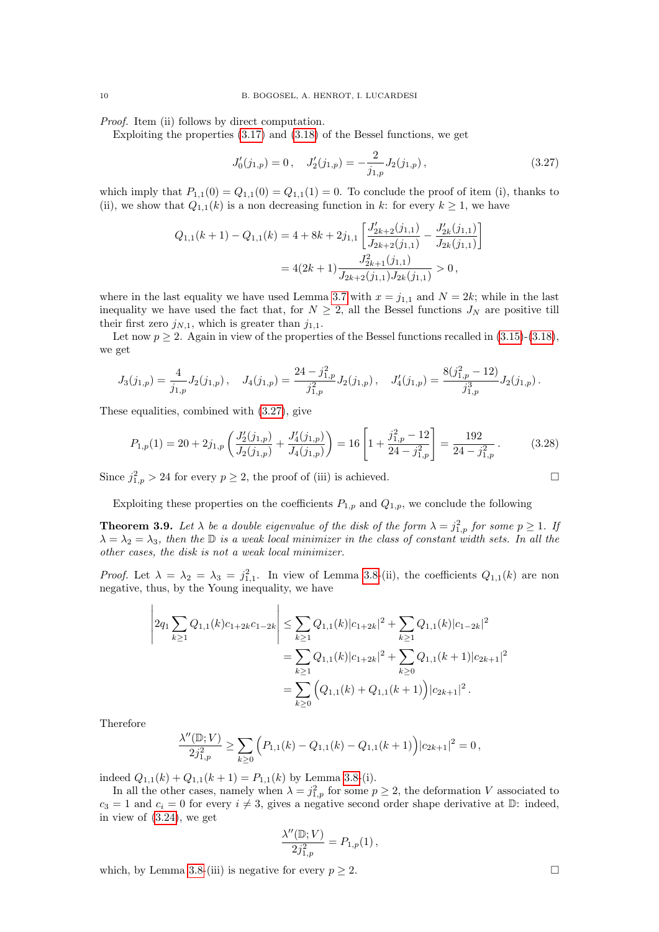Proof. Item (ii) follows by direct computation.

Exploiting the properties [\(3.17\)](#page-6-4) and [\(3.18\)](#page-6-5) of the Bessel functions, we get

<span id="page-9-0"></span>
$$
J_0'(j_{1,p}) = 0, \quad J_2'(j_{1,p}) = -\frac{2}{j_{1,p}} J_2(j_{1,p}), \tag{3.27}
$$

which imply that  $P_{1,1}(0) = Q_{1,1}(0) = Q_{1,1}(1) = 0$ . To conclude the proof of item (i), thanks to (ii), we show that  $Q_{1,1}(k)$  is a non decreasing function in k: for every  $k \geq 1$ , we have

$$
Q_{1,1}(k+1) - Q_{1,1}(k) = 4 + 8k + 2j_{1,1} \left[ \frac{J'_{2k+2}(j_{1,1})}{J_{2k+2}(j_{1,1})} - \frac{J'_{2k}(j_{1,1})}{J_{2k}(j_{1,1})} \right]
$$
  
=  $4(2k+1) \frac{J_{2k+1}^2(j_{1,1})}{J_{2k+2}(j_{1,1}) J_{2k}(j_{1,1})} > 0$ ,

where in the last equality we have used Lemma [3.7](#page-8-2) with  $x = j_{1,1}$  and  $N = 2k$ ; while in the last inequality we have used the fact that, for  $N \geq 2$ , all the Bessel functions  $J_N$  are positive till their first zero  $j_{N,1}$ , which is greater than  $j_{1,1}$ .

Let now  $p \ge 2$ . Again in view of the properties of the Bessel functions recalled in  $(3.15)-(3.18)$  $(3.15)-(3.18)$  $(3.15)-(3.18)$ , we get

$$
J_3(j_{1,p}) = \frac{4}{j_{1,p}} J_2(j_{1,p}), \quad J_4(j_{1,p}) = \frac{24 - j_{1,p}^2}{j_{1,p}^2} J_2(j_{1,p}), \quad J_4'(j_{1,p}) = \frac{8(j_{1,p}^2 - 12)}{j_{1,p}^3} J_2(j_{1,p}).
$$

These equalities, combined with [\(3.27\)](#page-9-0), give

$$
P_{1,p}(1) = 20 + 2j_{1,p} \left( \frac{J_2'(j_{1,p})}{J_2(j_{1,p})} + \frac{J_4'(j_{1,p})}{J_4(j_{1,p})} \right) = 16 \left[ 1 + \frac{j_{1,p}^2 - 12}{24 - j_{1,p}^2} \right] = \frac{192}{24 - j_{1,p}^2} \,. \tag{3.28}
$$

Since  $j_{1,p}^2 > 24$  for every  $p \ge 2$ , the proof of (iii) is achieved.

Exploiting these properties on the coefficients  $P_{1,p}$  and  $Q_{1,p}$ , we conclude the following

**Theorem 3.9.** Let  $\lambda$  be a double eigenvalue of the disk of the form  $\lambda = j_{1,p}^2$  for some  $p \ge 1$ . If  $\lambda = \lambda_2 = \lambda_3$ , then the D is a weak local minimizer in the class of constant width sets. In all the other cases, the disk is not a weak local minimizer.

*Proof.* Let  $\lambda = \lambda_2 = \lambda_3 = j_{1,1}^2$ . In view of Lemma [3.8-](#page-8-3)(ii), the coefficients  $Q_{1,1}(k)$  are non negative, thus, by the Young inequality, we have

$$
\left| 2q_1 \sum_{k\geq 1} Q_{1,1}(k)c_{1+2k}c_{1-2k} \right| \leq \sum_{k\geq 1} Q_{1,1}(k)|c_{1+2k}|^2 + \sum_{k\geq 1} Q_{1,1}(k)|c_{1-2k}|^2
$$
  
= 
$$
\sum_{k\geq 1} Q_{1,1}(k)|c_{1+2k}|^2 + \sum_{k\geq 0} Q_{1,1}(k+1)|c_{2k+1}|^2
$$
  
= 
$$
\sum_{k\geq 0} (Q_{1,1}(k) + Q_{1,1}(k+1))|c_{2k+1}|^2.
$$

Therefore

$$
\frac{\lambda''(\mathbb{D};V)}{2j_{1,p}^2} \ge \sum_{k\ge 0} \Big( P_{1,1}(k) - Q_{1,1}(k) - Q_{1,1}(k+1) \Big) |c_{2k+1}|^2 = 0,
$$

indeed  $Q_{1,1}(k) + Q_{1,1}(k+1) = P_{1,1}(k)$  by Lemma [3.8-](#page-8-3)(i).

In all the other cases, namely when  $\lambda = j_{1,p}^2$  for some  $p \geq 2$ , the deformation V associated to  $c_3 = 1$  and  $c_i = 0$  for every  $i \neq 3$ , gives a negative second order shape derivative at  $\mathbb{D}$ : indeed, in view of [\(3.24\)](#page-8-4), we get

$$
\frac{\lambda''(\mathbb{D};V)}{2j_{1,p}^2} = P_{1,p}(1) \,,
$$

which, by Lemma [3.8-](#page-8-3)(iii) is negative for every  $p \geq 2$ .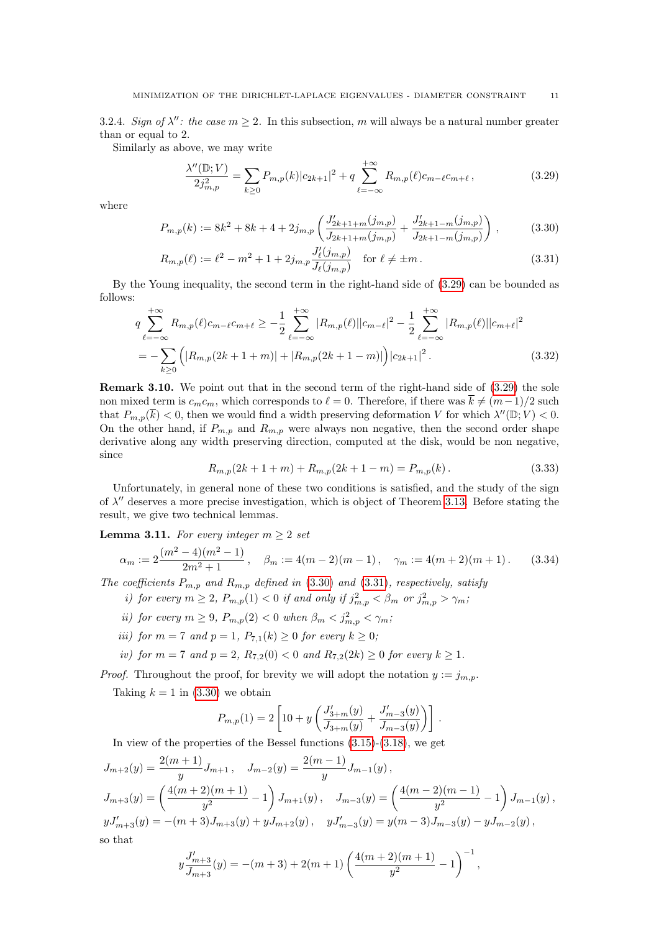3.2.4. Sign of  $\lambda''$ : the case  $m \geq 2$ . In this subsection, m will always be a natural number greater than or equal to 2.

Similarly as above, we may write

<span id="page-10-2"></span><span id="page-10-1"></span><span id="page-10-0"></span>
$$
\frac{\lambda''(\mathbb{D};V)}{2j_{m,p}^2} = \sum_{k\geq 0} P_{m,p}(k)|c_{2k+1}|^2 + q \sum_{\ell=-\infty}^{+\infty} R_{m,p}(\ell)c_{m-\ell}c_{m+\ell},\tag{3.29}
$$

where

$$
P_{m,p}(k) := 8k^2 + 8k + 4 + 2j_{m,p} \left( \frac{J'_{2k+1+m}(j_{m,p})}{J_{2k+1+m}(j_{m,p})} + \frac{J'_{2k+1-m}(j_{m,p})}{J_{2k+1-m}(j_{m,p})} \right),
$$
(3.30)

$$
R_{m,p}(\ell) := \ell^2 - m^2 + 1 + 2j_{m,p} \frac{J'_{\ell}(j_{m,p})}{J_{\ell}(j_{m,p})} \quad \text{for } \ell \neq \pm m \,.
$$
 (3.31)

By the Young inequality, the second term in the right-hand side of [\(3.29\)](#page-10-0) can be bounded as follows:

$$
q \sum_{\ell=-\infty}^{+\infty} R_{m,p}(\ell) c_{m-\ell} c_{m+\ell} \ge -\frac{1}{2} \sum_{\ell=-\infty}^{+\infty} |R_{m,p}(\ell)| |c_{m-\ell}|^2 - \frac{1}{2} \sum_{\ell=-\infty}^{+\infty} |R_{m,p}(\ell)| |c_{m+\ell}|^2
$$
  
= 
$$
-\sum_{k\ge 0} (|R_{m,p}(2k+1+m)| + |R_{m,p}(2k+1-m)|) |c_{2k+1}|^2.
$$
 (3.32)

<span id="page-10-6"></span>Remark 3.10. We point out that in the second term of the right-hand side of [\(3.29\)](#page-10-0) the sole non mixed term is  $c_m c_m$ , which corresponds to  $\ell = 0$ . Therefore, if there was  $\overline{k} \neq (m-1)/2$  such that  $P_{m,p}(\overline{k}) < 0$ , then we would find a width preserving deformation V for which  $\lambda''(\mathbb{D}; V) < 0$ . On the other hand, if  $P_{m,p}$  and  $R_{m,p}$  were always non negative, then the second order shape derivative along any width preserving direction, computed at the disk, would be non negative, since

<span id="page-10-5"></span><span id="page-10-4"></span>
$$
R_{m,p}(2k+1+m) + R_{m,p}(2k+1-m) = P_{m,p}(k).
$$
\n(3.33)

Unfortunately, in general none of these two conditions is satisfied, and the study of the sign of  $\lambda''$  deserves a more precise investigation, which is object of Theorem [3.13.](#page-12-0) Before stating the result, we give two technical lemmas.

## <span id="page-10-3"></span>**Lemma 3.11.** For every integer  $m \geq 2$  set

$$
\alpha_m := 2 \frac{(m^2 - 4)(m^2 - 1)}{2m^2 + 1}, \quad \beta_m := 4(m - 2)(m - 1), \quad \gamma_m := 4(m + 2)(m + 1). \tag{3.34}
$$

The coefficients  $P_{m,p}$  and  $R_{m,p}$  defined in [\(3.30\)](#page-10-1) and [\(3.31\)](#page-10-2), respectively, satisfy

- i) for every  $m \geq 2$ ,  $P_{m,p}(1) < 0$  if and only if  $j_{m,p}^2 < \beta_m$  or  $j_{m,p}^2 > \gamma_m$ ;
- ii) for every  $m \ge 9$ ,  $P_{m,p}(2) < 0$  when  $\beta_m < j_{m,p}^2 < \gamma_m$ ;
- iii) for  $m = 7$  and  $p = 1$ ,  $P_{7,1}(k) \ge 0$  for every  $k \ge 0$ ;

iv) for  $m = 7$  and  $p = 2$ ,  $R_{7,2}(0) < 0$  and  $R_{7,2}(2k) \ge 0$  for every  $k \ge 1$ .

*Proof.* Throughout the proof, for brevity we will adopt the notation  $y := j_{m,p}$ .

Taking  $k = 1$  in [\(3.30\)](#page-10-1) we obtain

$$
P_{m,p}(1) = 2 \left[ 10 + y \left( \frac{J'_{3+m}(y)}{J_{3+m}(y)} + \frac{J'_{m-3}(y)}{J_{m-3}(y)} \right) \right].
$$

In view of the properties of the Bessel functions [\(3.15\)](#page-6-2)-[\(3.18\)](#page-6-5), we get

$$
J_{m+2}(y) = \frac{2(m+1)}{y} J_{m+1}, \quad J_{m-2}(y) = \frac{2(m-1)}{y} J_{m-1}(y),
$$
  
\n
$$
J_{m+3}(y) = \left(\frac{4(m+2)(m+1)}{y^2} - 1\right) J_{m+1}(y), \quad J_{m-3}(y) = \left(\frac{4(m-2)(m-1)}{y^2} - 1\right) J_{m-1}(y),
$$
  
\n
$$
yJ'_{m+3}(y) = -(m+3)J_{m+3}(y) + yJ_{m+2}(y), \quad yJ'_{m-3}(y) = y(m-3)J_{m-3}(y) - yJ_{m-2}(y),
$$
  
\nso that

$$
y\frac{J'_{m+3}}{J_{m+3}}(y) = -(m+3) + 2(m+1)\left(\frac{4(m+2)(m+1)}{y^2} - 1\right)^{-1},
$$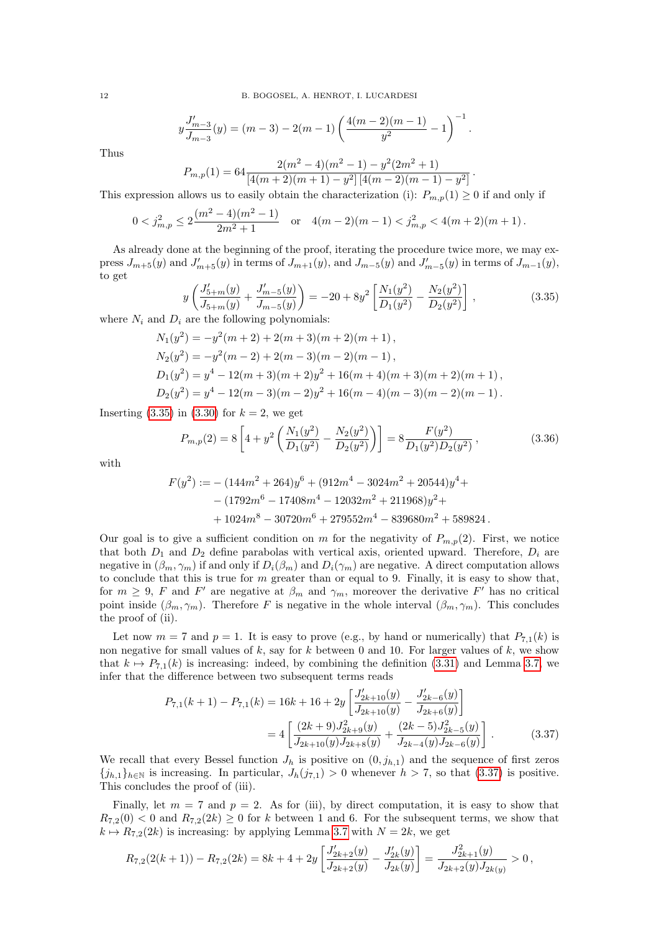$$
y\frac{J'_{m-3}}{J_{m-3}}(y) = (m-3) - 2(m-1)\left(\frac{4(m-2)(m-1)}{y^2} - 1\right)^{-1}.
$$

Thus

$$
P_{m,p}(1) = 64 \frac{2(m^2 - 4)(m^2 - 1) - y^2(2m^2 + 1)}{[4(m+2)(m+1) - y^2][4(m-2)(m-1) - y^2]}
$$

This expression allows us to easily obtain the characterization (i):  $P_{m,p}(1) \geq 0$  if and only if

$$
0 < j_{m,p}^2 \le 2\frac{(m^2 - 4)(m^2 - 1)}{2m^2 + 1} \quad \text{or} \quad 4(m-2)(m-1) < j_{m,p}^2 < 4(m+2)(m+1) \, .
$$

As already done at the beginning of the proof, iterating the procedure twice more, we may express  $J_{m+5}(y)$  and  $J'_{m+5}(y)$  in terms of  $J_{m+1}(y)$ , and  $J_{m-5}(y)$  and  $J'_{m-5}(y)$  in terms of  $J_{m-1}(y)$ , to get

<span id="page-11-0"></span>
$$
y\left(\frac{J'_{5+m}(y)}{J_{5+m}(y)} + \frac{J'_{m-5}(y)}{J_{m-5}(y)}\right) = -20 + 8y^2 \left[\frac{N_1(y^2)}{D_1(y^2)} - \frac{N_2(y^2)}{D_2(y^2)}\right],
$$
\n(3.35)

.

where  $N_i$  and  $D_i$  are the following polynomials:

$$
N_1(y^2) = -y^2(m+2) + 2(m+3)(m+2)(m+1),
$$
  
\n
$$
N_2(y^2) = -y^2(m-2) + 2(m-3)(m-2)(m-1),
$$
  
\n
$$
D_1(y^2) = y^4 - 12(m+3)(m+2)y^2 + 16(m+4)(m+3)(m+2)(m+1),
$$
  
\n
$$
D_2(y^2) = y^4 - 12(m-3)(m-2)y^2 + 16(m-4)(m-3)(m-2)(m-1).
$$

Inserting  $(3.35)$  in  $(3.30)$  for  $k = 2$ , we get

$$
P_{m,p}(2) = 8\left[4 + y^2 \left(\frac{N_1(y^2)}{D_1(y^2)} - \frac{N_2(y^2)}{D_2(y^2)}\right)\right] = 8 \frac{F(y^2)}{D_1(y^2)D_2(y^2)},
$$
\n(3.36)

with

$$
F(y^2) := - (144m^2 + 264)y^6 + (912m^4 - 3024m^2 + 20544)y^4 +
$$
  
- (1792m<sup>6</sup> – 17408m<sup>4</sup> – 12032m<sup>2</sup> + 211968)y<sup>2</sup> +  
+ 1024m<sup>8</sup> – 30720m<sup>6</sup> + 279552m<sup>4</sup> – 839680m<sup>2</sup> + 589824.

Our goal is to give a sufficient condition on m for the negativity of  $P_{m,p}(2)$ . First, we notice that both  $D_1$  and  $D_2$  define parabolas with vertical axis, oriented upward. Therefore,  $D_i$  are negative in  $(\beta_m, \gamma_m)$  if and only if  $D_i(\beta_m)$  and  $D_i(\gamma_m)$  are negative. A direct computation allows to conclude that this is true for  $m$  greater than or equal to 9. Finally, it is easy to show that, for  $m \geq 9$ , F and F' are negative at  $\beta_m$  and  $\gamma_m$ , moreover the derivative F' has no critical point inside  $(\beta_m, \gamma_m)$ . Therefore F is negative in the whole interval  $(\beta_m, \gamma_m)$ . This concludes the proof of (ii).

Let now  $m = 7$  and  $p = 1$ . It is easy to prove (e.g., by hand or numerically) that  $P_{7,1}(k)$  is non negative for small values of  $k$ , say for  $k$  between 0 and 10. For larger values of  $k$ , we show that  $k \mapsto P_{7,1}(k)$  is increasing: indeed, by combining the definition [\(3.31\)](#page-10-2) and Lemma [3.7,](#page-8-2) we infer that the difference between two subsequent terms reads

<span id="page-11-1"></span>
$$
P_{7,1}(k+1) - P_{7,1}(k) = 16k + 16 + 2y \left[ \frac{J'_{2k+10}(y)}{J_{2k+10}(y)} - \frac{J'_{2k-6}(y)}{J_{2k+6}(y)} \right]
$$
  
= 
$$
4 \left[ \frac{(2k+9)J^2_{2k+9}(y)}{J_{2k+10}(y)J_{2k+8}(y)} + \frac{(2k-5)J^2_{2k-5}(y)}{J_{2k-4}(y)J_{2k-6}(y)} \right].
$$
 (3.37)

We recall that every Bessel function  $J_h$  is positive on  $(0, j_{h,1})$  and the sequence of first zeros  ${j_{h,1}}_{h\in\mathbb{N}}$  is increasing. In particular,  $J_h(j_{7,1}) > 0$  whenever  $h > 7$ , so that [\(3.37\)](#page-11-1) is positive. This concludes the proof of (iii).

Finally, let  $m = 7$  and  $p = 2$ . As for (iii), by direct computation, it is easy to show that  $R_{7,2}(0) < 0$  and  $R_{7,2}(2k) \geq 0$  for k between 1 and 6. For the subsequent terms, we show that  $k \mapsto R_{7,2}(2k)$  is increasing: by applying Lemma [3.7](#page-8-2) with  $N = 2k$ , we get

$$
R_{7,2}(2(k+1))-R_{7,2}(2k)=8k+4+2y\left[\frac{J'_{2k+2}(y)}{J_{2k+2}(y)}-\frac{J'_{2k}(y)}{J_{2k}(y)}\right]=\frac{J^2_{2k+1}(y)}{J_{2k+2}(y)J_{2k(y)}}>0\,,
$$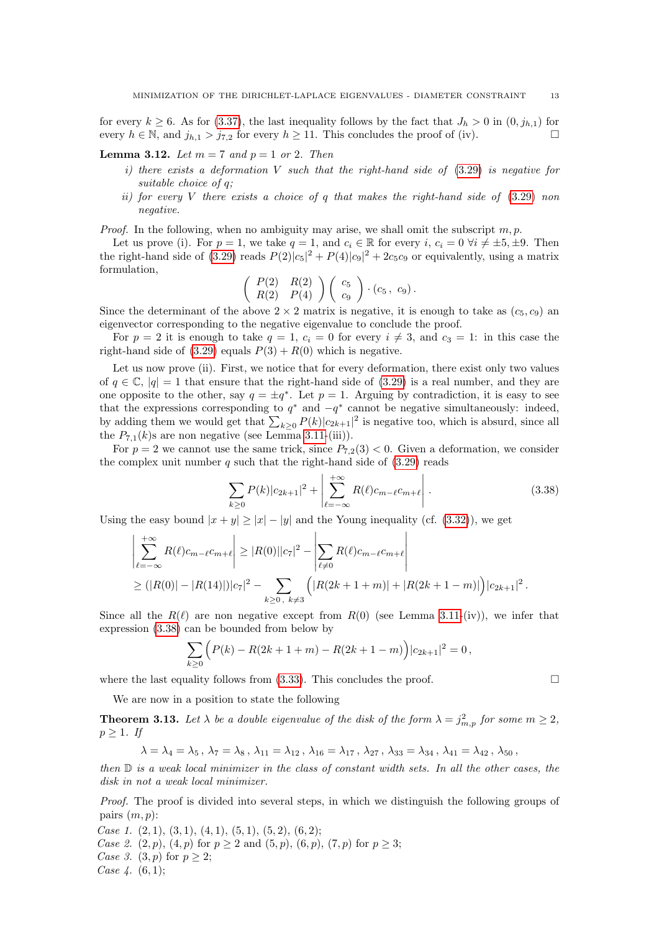for every  $k \geq 6$ . As for [\(3.37\)](#page-11-1), the last inequality follows by the fact that  $J_h > 0$  in  $(0, j_{h,1})$  for every  $h \in \mathbb{N}$ , and  $j_{h,1} > j_{7,2}$  for every  $h \ge 11$ . This concludes the proof of (iv).

<span id="page-12-2"></span>**Lemma 3.12.** Let  $m = 7$  and  $p = 1$  or 2. Then

- i) there exists a deformation V such that the right-hand side of  $(3.29)$  is negative for suitable choice of q;
- ii) for every V there exists a choice of  $q$  that makes the right-hand side of  $(3.29)$  non negative.

*Proof.* In the following, when no ambiguity may arise, we shall omit the subscript  $m, p$ .

Let us prove (i). For  $p = 1$ , we take  $q = 1$ , and  $c_i \in \mathbb{R}$  for every  $i, c_i = 0 \,\forall i \neq \pm 5, \pm 9$ . Then the right-hand side of [\(3.29\)](#page-10-0) reads  $P(2)|c_5|^2 + P(4)|c_9|^2 + 2c_5c_9$  or equivalently, using a matrix formulation,

$$
\left(\begin{array}{cc} P(2) & R(2) \\ R(2) & P(4) \end{array}\right) \left(\begin{array}{c} c_5 \\ c_9 \end{array}\right) \cdot (c_5, c_9).
$$

Since the determinant of the above  $2 \times 2$  matrix is negative, it is enough to take as  $(c_5, c_9)$  and eigenvector corresponding to the negative eigenvalue to conclude the proof.

For  $p = 2$  it is enough to take  $q = 1$ ,  $c_i = 0$  for every  $i \neq 3$ , and  $c_3 = 1$ : in this case the right-hand side of  $(3.29)$  equals  $P(3) + R(0)$  which is negative.

Let us now prove (ii). First, we notice that for every deformation, there exist only two values of  $q \in \mathbb{C}$ ,  $|q| = 1$  that ensure that the right-hand side of [\(3.29\)](#page-10-0) is a real number, and they are one opposite to the other, say  $q = \pm q^*$ . Let  $p = 1$ . Arguing by contradiction, it is easy to see that the expressions corresponding to  $q^*$  and  $-q^*$  cannot be negative simultaneously: indeed, by adding them we would get that  $\sum_{k\geq 0} P(k)|c_{2k+1}|^2$  is negative too, which is absurd, since all the  $P_{7,1}(k)$ s are non negative (see Lemma [3.11-](#page-10-3)(iii)).

For  $p = 2$  we cannot use the same trick, since  $P_{7,2}(3) < 0$ . Given a deformation, we consider the complex unit number q such that the right-hand side of  $(3.29)$  reads

<span id="page-12-1"></span>
$$
\sum_{k\geq 0} P(k)|c_{2k+1}|^{2} + \left|\sum_{\ell=-\infty}^{+\infty} R(\ell)c_{m-\ell}c_{m+\ell}\right|.
$$
\n(3.38)

Using the easy bound  $|x + y| \ge |x| - |y|$  and the Young inequality (cf. [\(3.32\)](#page-10-4)), we get

$$
\left| \sum_{\ell=-\infty}^{+\infty} R(\ell) c_{m-\ell} c_{m+\ell} \right| \geq |R(0)||c_7|^2 - \left| \sum_{\ell \neq 0} R(\ell) c_{m-\ell} c_{m+\ell} \right|
$$
  
 
$$
\geq (|R(0)| - |R(14)|) |c_7|^2 - \sum_{k \geq 0, k \neq 3} \left( |R(2k+1+m)| + |R(2k+1-m)| \right) |c_{2k+1}|^2.
$$

Since all the  $R(\ell)$  are non negative except from  $R(0)$  (see Lemma [3.11-](#page-10-3)(iv)), we infer that expression [\(3.38\)](#page-12-1) can be bounded from below by

$$
\sum_{k\geq 0} (P(k) - R(2k+1+m) - R(2k+1-m)) |c_{2k+1}|^2 = 0,
$$

where the last equality follows from  $(3.33)$ . This concludes the proof.

We are now in a position to state the following

<span id="page-12-0"></span>**Theorem 3.13.** Let  $\lambda$  be a double eigenvalue of the disk of the form  $\lambda = j_{m,p}^2$  for some  $m \geq 2$ ,  $p \geq 1$ . If

$$
\lambda = \lambda_4 = \lambda_5
$$
,  $\lambda_7 = \lambda_8$ ,  $\lambda_{11} = \lambda_{12}$ ,  $\lambda_{16} = \lambda_{17}$ ,  $\lambda_{27}$ ,  $\lambda_{33} = \lambda_{34}$ ,  $\lambda_{41} = \lambda_{42}$ ,  $\lambda_{50}$ ,

then  $\mathbb D$  is a weak local minimizer in the class of constant width sets. In all the other cases, the disk in not a weak local minimizer.

Proof. The proof is divided into several steps, in which we distinguish the following groups of pairs  $(m, p)$ :

Case 1.  $(2, 1), (3, 1), (4, 1), (5, 1), (5, 2), (6, 2);$ *Case 2.* (2, p), (4, p) for  $p \ge 2$  and (5, p), (6, p), (7, p) for  $p \ge 3$ ; Case 3. (3, p) for  $p \geq 2$ ; Case  $4. (6, 1);$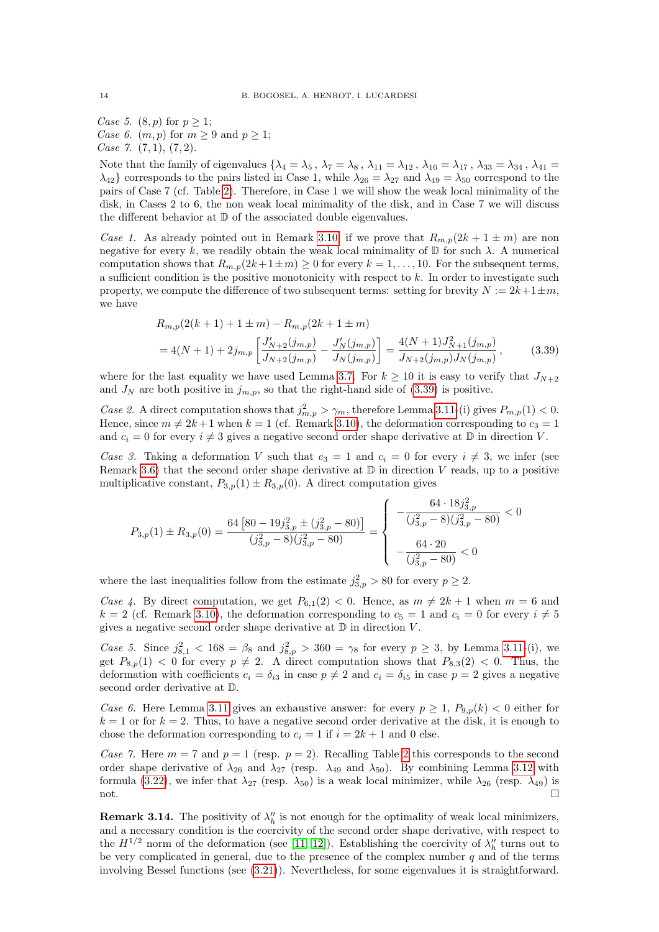Case 5.  $(8, p)$  for  $p \geq 1$ ; Case 6.  $(m, p)$  for  $m \geq 9$  and  $p \geq 1$ ; Case 7.  $(7, 1), (7, 2)$ .

Note that the family of eigenvalues  $\{\lambda_4 = \lambda_5, \lambda_7 = \lambda_8, \lambda_{11} = \lambda_{12}, \lambda_{16} = \lambda_{17}, \lambda_{33} = \lambda_{34}, \lambda_{41} = \lambda_{16}$  $\lambda_{42}$  corresponds to the pairs listed in Case 1, while  $\lambda_{26} = \lambda_{27}$  and  $\lambda_{49} = \lambda_{50}$  correspond to the pairs of Case 7 (cf. Table [2\)](#page-4-1). Therefore, in Case 1 we will show the weak local minimality of the disk, in Cases 2 to 6, the non weak local minimality of the disk, and in Case 7 we will discuss the different behavior at D of the associated double eigenvalues.

Case 1. As already pointed out in Remark [3.10,](#page-10-6) if we prove that  $R_{m,p}(2k+1 \pm m)$  are non negative for every k, we readily obtain the weak local minimality of  $\mathbb D$  for such  $\lambda$ . A numerical computation shows that  $R_{m,p}(2k+1\pm m) \geq 0$  for every  $k = 1, ..., 10$ . For the subsequent terms, a sufficient condition is the positive monotonicity with respect to  $k$ . In order to investigate such property, we compute the difference of two subsequent terms: setting for brevity  $N := 2k+1 \pm m$ , we have

<span id="page-13-0"></span>
$$
R_{m,p}(2(k+1)+1\pm m) - R_{m,p}(2k+1\pm m)
$$
  
= 4(N+1) + 2j<sub>m,p</sub>  $\left[ \frac{J'_{N+2}(j_{m,p})}{J_{N+2}(j_{m,p})} - \frac{J'_{N}(j_{m,p})}{J_{N}(j_{m,p})} \right] = \frac{4(N+1)J_{N+1}^2(j_{m,p})}{J_{N+2}(j_{m,p})J_{N}(j_{m,p})},$  (3.39)

where for the last equality we have used Lemma [3.7.](#page-8-2) For  $k \ge 10$  it is easy to verify that  $J_{N+2}$ and  $J_N$  are both positive in  $j_{m,p}$ , so that the right-hand side of [\(3.39\)](#page-13-0) is positive.

Case 2. A direct computation shows that  $j_{m,p}^2 > \gamma_m$ , therefore Lemma [3.11-](#page-10-3)(i) gives  $P_{m,p}(1) < 0$ . Hence, since  $m \neq 2k + 1$  when  $k = 1$  (cf. Remark [3.10\)](#page-10-6), the deformation corresponding to  $c_3 = 1$ and  $c_i = 0$  for every  $i \neq 3$  gives a negative second order shape derivative at  $\mathbb D$  in direction V.

Case 3. Taking a deformation V such that  $c_3 = 1$  and  $c_i = 0$  for every  $i \neq 3$ , we infer (see Remark [3.6\)](#page-8-5) that the second order shape derivative at  $\mathbb D$  in direction V reads, up to a positive multiplicative constant,  $P_{3,p}(1) \pm R_{3,p}(0)$ . A direct computation gives

$$
P_{3,p}(1) \pm R_{3,p}(0) = \frac{64 [80 - 19j_{3,p}^2 \pm (j_{3,p}^2 - 80)]}{(j_{3,p}^2 - 8)(j_{3,p}^2 - 80)} = \begin{cases} -\frac{64 \cdot 18j_{3,p}^2}{(j_{3,p}^2 - 8)(j_{3,p}^2 - 80)} < 0\\ -\frac{64 \cdot 20}{(j_{3,p}^2 - 80)} < 0 \end{cases}
$$

where the last inequalities follow from the estimate  $j_{3,p}^2 > 80$  for every  $p \geq 2$ .

Case 4. By direct computation, we get  $P_{6,1}(2) < 0$ . Hence, as  $m \neq 2k + 1$  when  $m = 6$  and  $k = 2$  (cf. Remark [3.10\)](#page-10-6), the deformation corresponding to  $c_5 = 1$  and  $c_i = 0$  for every  $i \neq 5$ gives a negative second order shape derivative at  $\mathbb D$  in direction V.

Case 5. Since  $j_{8,1}^2 < 168 = \beta_8$  and  $j_{8,p}^2 > 360 = \gamma_8$  for every  $p \ge 3$ , by Lemma [3.11-](#page-10-3)(i), we get  $P_{8,p}(1) < 0$  for every  $p \neq 2$ . A direct computation shows that  $P_{8,3}(2) < 0$ . Thus, the deformation with coefficients  $c_i = \delta_{i3}$  in case  $p \neq 2$  and  $c_i = \delta_{i5}$  in case  $p = 2$  gives a negative second order derivative at D.

Case 6. Here Lemma [3.11](#page-10-3) gives an exhaustive answer: for every  $p \geq 1$ ,  $P_{9,p}(k) < 0$  either for  $k = 1$  or for  $k = 2$ . Thus, to have a negative second order derivative at the disk, it is enough to chose the deformation corresponding to  $c_i = 1$  if  $i = 2k + 1$  and 0 else.

Case 7. Here  $m = 7$  and  $p = 1$  (resp.  $p = 2$  $p = 2$ ). Recalling Table 2 this corresponds to the second order shape derivative of  $\lambda_{26}$  and  $\lambda_{27}$  (resp.  $\lambda_{49}$  and  $\lambda_{50}$ ). By combining Lemma [3.12](#page-12-2) with formula [\(3.22\)](#page-8-6), we infer that  $\lambda_{27}$  (resp.  $\lambda_{50}$ ) is a weak local minimizer, while  $\lambda_{26}$  (resp.  $\lambda_{49}$ ) is not.

**Remark 3.14.** The positivity of  $\lambda_h''$  is not enough for the optimality of weak local minimizers, and a necessary condition is the coercivity of the second order shape derivative, with respect to the  $H^{1/2}$  norm of the deformation (see [\[11,](#page-17-16) [12\]](#page-17-17)). Establishing the coercivity of  $\lambda_h''$  turns out to be very complicated in general, due to the presence of the complex number  $q$  and of the terms involving Bessel functions (see [\(3.21\)](#page-7-1)). Nevertheless, for some eigenvalues it is straightforward.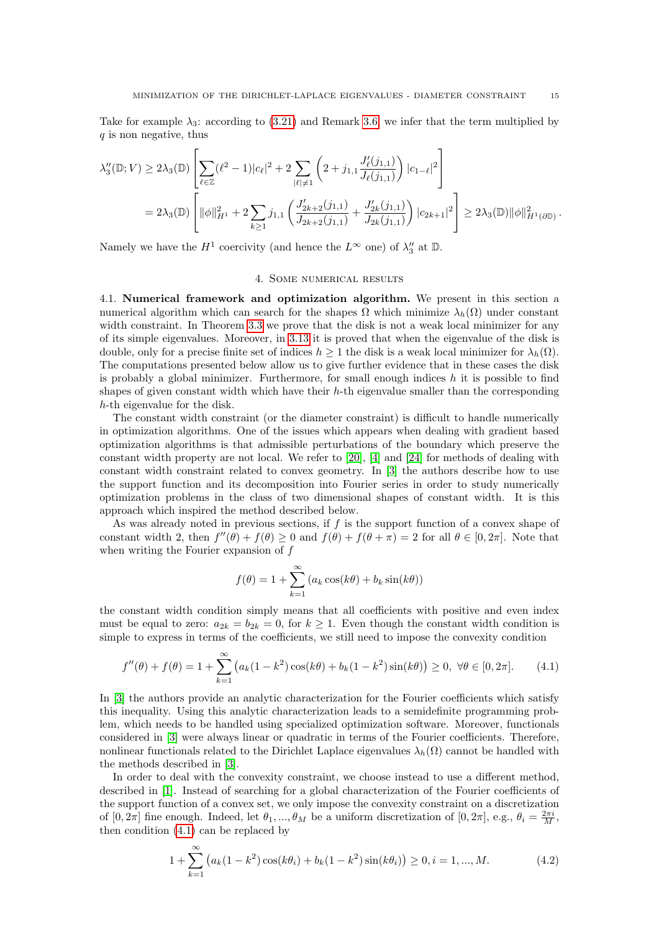Take for example  $\lambda_3$ : according to [\(3.21\)](#page-7-1) and Remark [3.6,](#page-8-5) we infer that the term multiplied by q is non negative, thus

$$
\lambda_3''(\mathbb{D}; V) \ge 2\lambda_3(\mathbb{D}) \left[ \sum_{\ell \in \mathbb{Z}} (\ell^2 - 1) |c_{\ell}|^2 + 2 \sum_{|\ell| \neq 1} \left( 2 + j_{1,1} \frac{J_{\ell}'(j_{1,1})}{J_{\ell}(j_{1,1})} \right) |c_{1-\ell}|^2 \right]
$$
  
=  $2\lambda_3(\mathbb{D}) \left[ \|\phi\|_{H^1}^2 + 2 \sum_{k \ge 1} j_{1,1} \left( \frac{J_{2k+2}'(j_{1,1})}{J_{2k+2}(j_{1,1})} + \frac{J_{2k}'(j_{1,1})}{J_{2k}(j_{1,1})} \right) |c_{2k+1}|^2 \right] \ge 2\lambda_3(\mathbb{D}) \|\phi\|_{H^1(\partial \mathbb{D})}^2.$ 

Namely we have the  $H^1$  coercivity (and hence the  $L^{\infty}$  one) of  $\lambda_3''$  at  $\mathbb{D}$ .

#### 4. Some numerical results

<span id="page-14-0"></span>4.1. Numerical framework and optimization algorithm. We present in this section a numerical algorithm which can search for the shapes  $\Omega$  which minimize  $\lambda_h(\Omega)$  under constant width constraint. In Theorem [3.3](#page-6-0) we prove that the disk is not a weak local minimizer for any of its simple eigenvalues. Moreover, in [3.13](#page-12-0) it is proved that when the eigenvalue of the disk is double, only for a precise finite set of indices  $h \geq 1$  the disk is a weak local minimizer for  $\lambda_h(\Omega)$ . The computations presented below allow us to give further evidence that in these cases the disk is probably a global minimizer. Furthermore, for small enough indices  $h$  it is possible to find shapes of given constant width which have their  $h$ -th eigenvalue smaller than the corresponding h-th eigenvalue for the disk.

The constant width constraint (or the diameter constraint) is difficult to handle numerically in optimization algorithms. One of the issues which appears when dealing with gradient based optimization algorithms is that admissible perturbations of the boundary which preserve the constant width property are not local. We refer to [\[20\]](#page-17-12), [\[4\]](#page-17-18) and [\[24\]](#page-17-19) for methods of dealing with constant width constraint related to convex geometry. In [\[3\]](#page-17-20) the authors describe how to use the support function and its decomposition into Fourier series in order to study numerically optimization problems in the class of two dimensional shapes of constant width. It is this approach which inspired the method described below.

As was already noted in previous sections, if  $f$  is the support function of a convex shape of constant width 2, then  $f''(\theta) + f(\theta) \ge 0$  and  $f(\theta) + f(\theta + \pi) = 2$  for all  $\theta \in [0, 2\pi]$ . Note that when writing the Fourier expansion of  $f$ 

$$
f(\theta) = 1 + \sum_{k=1}^{\infty} (a_k \cos(k\theta) + b_k \sin(k\theta))
$$

the constant width condition simply means that all coefficients with positive and even index must be equal to zero:  $a_{2k} = b_{2k} = 0$ , for  $k \ge 1$ . Even though the constant width condition is simple to express in terms of the coefficients, we still need to impose the convexity condition

<span id="page-14-1"></span>
$$
f''(\theta) + f(\theta) = 1 + \sum_{k=1}^{\infty} \left( a_k (1 - k^2) \cos(k\theta) + b_k (1 - k^2) \sin(k\theta) \right) \ge 0, \ \forall \theta \in [0, 2\pi]. \tag{4.1}
$$

In [\[3\]](#page-17-20) the authors provide an analytic characterization for the Fourier coefficients which satisfy this inequality. Using this analytic characterization leads to a semidefinite programming problem, which needs to be handled using specialized optimization software. Moreover, functionals considered in [\[3\]](#page-17-20) were always linear or quadratic in terms of the Fourier coefficients. Therefore, nonlinear functionals related to the Dirichlet Laplace eigenvalues  $\lambda_h(\Omega)$  cannot be handled with the methods described in [\[3\]](#page-17-20).

In order to deal with the convexity constraint, we choose instead to use a different method, described in [\[1\]](#page-17-21). Instead of searching for a global characterization of the Fourier coefficients of the support function of a convex set, we only impose the convexity constraint on a discretization of  $[0, 2\pi]$  fine enough. Indeed, let  $\theta_1, ..., \theta_M$  be a uniform discretization of  $[0, 2\pi]$ , e.g.,  $\theta_i = \frac{2\pi i}{M}$ , then condition [\(4.1\)](#page-14-1) can be replaced by

<span id="page-14-2"></span>
$$
1 + \sum_{k=1}^{\infty} \left( a_k (1 - k^2) \cos(k\theta_i) + b_k (1 - k^2) \sin(k\theta_i) \right) \ge 0, i = 1, ..., M.
$$
 (4.2)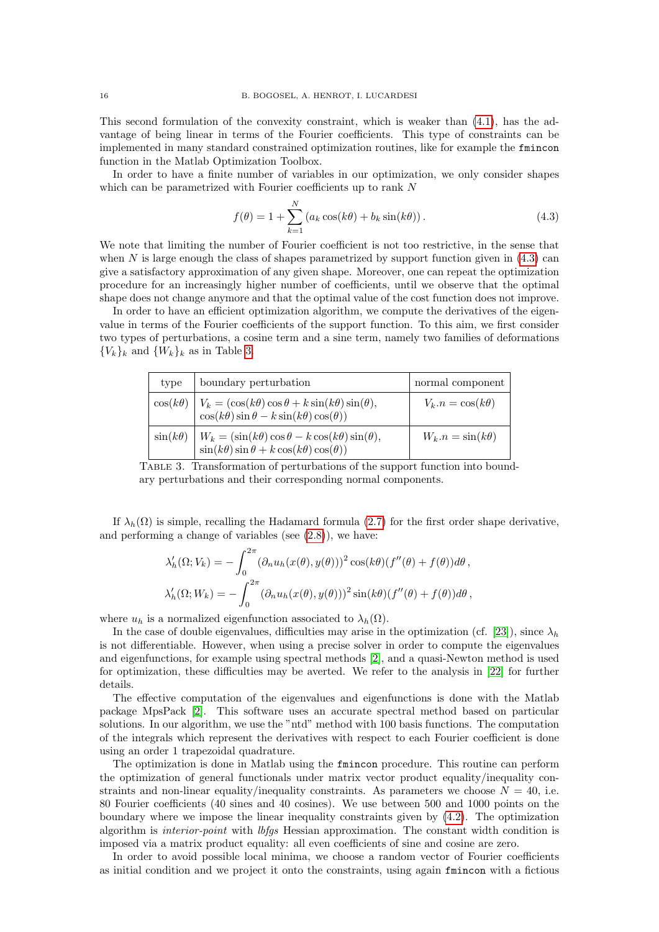This second formulation of the convexity constraint, which is weaker than  $(4.1)$ , has the advantage of being linear in terms of the Fourier coefficients. This type of constraints can be implemented in many standard constrained optimization routines, like for example the fmincon function in the Matlab Optimization Toolbox.

In order to have a finite number of variables in our optimization, we only consider shapes which can be parametrized with Fourier coefficients up to rank N

<span id="page-15-0"></span>
$$
f(\theta) = 1 + \sum_{k=1}^{N} \left( a_k \cos(k\theta) + b_k \sin(k\theta) \right). \tag{4.3}
$$

We note that limiting the number of Fourier coefficient is not too restrictive, in the sense that when  $N$  is large enough the class of shapes parametrized by support function given in  $(4.3)$  can give a satisfactory approximation of any given shape. Moreover, one can repeat the optimization procedure for an increasingly higher number of coefficients, until we observe that the optimal shape does not change anymore and that the optimal value of the cost function does not improve.

In order to have an efficient optimization algorithm, we compute the derivatives of the eigenvalue in terms of the Fourier coefficients of the support function. To this aim, we first consider two types of perturbations, a cosine term and a sine term, namely two families of deformations  ${V_k}_k$  and  ${W_k}_k$  as in Table [3.](#page-15-1)

<span id="page-15-1"></span>

| type            | boundary perturbation                                                                                                                     | normal component        |
|-----------------|-------------------------------------------------------------------------------------------------------------------------------------------|-------------------------|
|                 | $\cos(k\theta)$ $V_k = (\cos(k\theta)\cos\theta + k\sin(k\theta)\sin(\theta)),$<br>$\cos(k\theta)\sin\theta - k\sin(k\theta)\cos(\theta)$ | $V_k.n = \cos(k\theta)$ |
| $\sin(k\theta)$ | $W_k = (\sin(k\theta)\cos\theta - k\cos(k\theta)\sin(\theta)),$<br>$\sin(k\theta)\sin\theta + k\cos(k\theta)\cos(\theta)$                 | $W_k.n = \sin(k\theta)$ |

Table 3. Transformation of perturbations of the support function into boundary perturbations and their corresponding normal components.

If  $\lambda_h(\Omega)$  is simple, recalling the Hadamard formula [\(2.7\)](#page-3-5) for the first order shape derivative, and performing a change of variables (see  $(2.8)$ ), we have:

$$
\lambda'_h(\Omega; V_k) = -\int_0^{2\pi} (\partial_n u_h(x(\theta), y(\theta)))^2 \cos(k\theta) (f''(\theta) + f(\theta)) d\theta,
$$
  

$$
\lambda'_h(\Omega; W_k) = -\int_0^{2\pi} (\partial_n u_h(x(\theta), y(\theta)))^2 \sin(k\theta) (f''(\theta) + f(\theta)) d\theta,
$$

where  $u_h$  is a normalized eigenfunction associated to  $\lambda_h(\Omega)$ .

In the case of double eigenvalues, difficulties may arise in the optimization (cf. [\[23\]](#page-17-22)), since  $\lambda_h$ is not differentiable. However, when using a precise solver in order to compute the eigenvalues and eigenfunctions, for example using spectral methods [\[2\]](#page-17-23), and a quasi-Newton method is used for optimization, these difficulties may be averted. We refer to the analysis in [\[22\]](#page-17-24) for further details.

The effective computation of the eigenvalues and eigenfunctions is done with the Matlab package MpsPack [\[2\]](#page-17-23). This software uses an accurate spectral method based on particular solutions. In our algorithm, we use the "ntd" method with 100 basis functions. The computation of the integrals which represent the derivatives with respect to each Fourier coefficient is done using an order 1 trapezoidal quadrature.

The optimization is done in Matlab using the fmincon procedure. This routine can perform the optimization of general functionals under matrix vector product equality/inequality constraints and non-linear equality/inequality constraints. As parameters we choose  $N = 40$ , i.e. 80 Fourier coefficients (40 sines and 40 cosines). We use between 500 and 1000 points on the boundary where we impose the linear inequality constraints given by [\(4.2\)](#page-14-2). The optimization algorithm is interior-point with lbfgs Hessian approximation. The constant width condition is imposed via a matrix product equality: all even coefficients of sine and cosine are zero.

In order to avoid possible local minima, we choose a random vector of Fourier coefficients as initial condition and we project it onto the constraints, using again fmincon with a fictious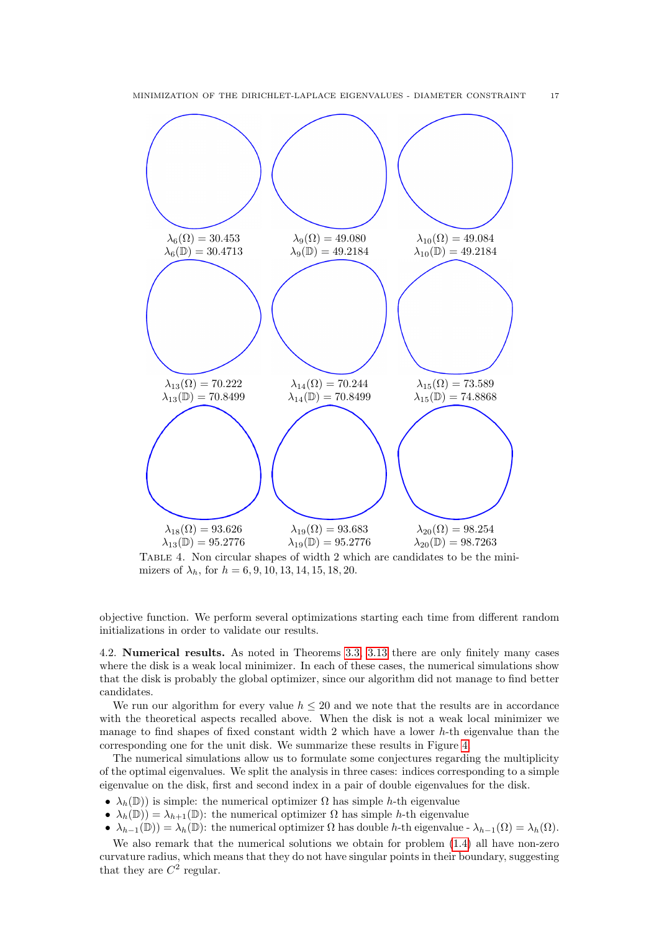<span id="page-16-0"></span>

Table 4. Non circular shapes of width 2 which are candidates to be the minimizers of  $\lambda_h$ , for  $h = 6, 9, 10, 13, 14, 15, 18, 20$ .

objective function. We perform several optimizations starting each time from different random initializations in order to validate our results.

4.2. Numerical results. As noted in Theorems [3.3,](#page-6-0) [3.13](#page-12-0) there are only finitely many cases where the disk is a weak local minimizer. In each of these cases, the numerical simulations show that the disk is probably the global optimizer, since our algorithm did not manage to find better candidates.

We run our algorithm for every value  $h \leq 20$  and we note that the results are in accordance with the theoretical aspects recalled above. When the disk is not a weak local minimizer we manage to find shapes of fixed constant width 2 which have a lower h-th eigenvalue than the corresponding one for the unit disk. We summarize these results in Figure [4.](#page-16-0)

The numerical simulations allow us to formulate some conjectures regarding the multiplicity of the optimal eigenvalues. We split the analysis in three cases: indices corresponding to a simple eigenvalue on the disk, first and second index in a pair of double eigenvalues for the disk.

- $\lambda_h(\mathbb{D})$  is simple: the numerical optimizer  $\Omega$  has simple h-th eigenvalue
- $\lambda_h(\mathbb{D}) = \lambda_{h+1}(\mathbb{D})$ : the numerical optimizer  $\Omega$  has simple h-th eigenvalue
- $\lambda_{h-1}(\mathbb{D}) = \lambda_h(\mathbb{D})$ : the numerical optimizer  $\Omega$  has double h-th eigenvalue  $\lambda_{h-1}(\Omega) = \lambda_h(\Omega)$ .

We also remark that the numerical solutions we obtain for problem [\(1.4\)](#page-0-0) all have non-zero curvature radius, which means that they do not have singular points in their boundary, suggesting that they are  $C^2$  regular.